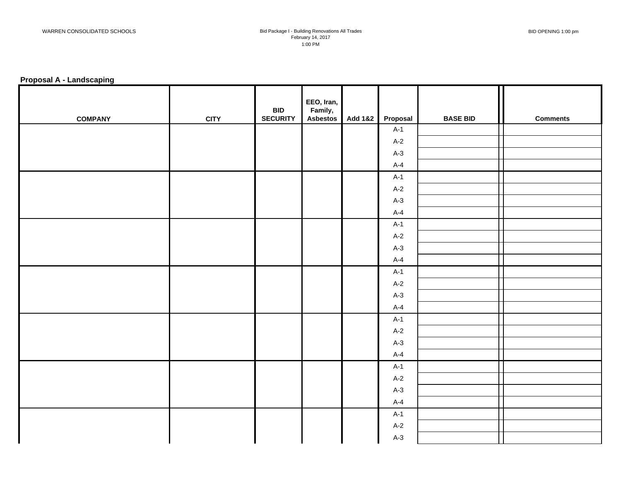#### **Proposal A - Landscaping**

| <b>COMPANY</b> | <b>CITY</b> | <b>BID</b><br><b>SECURITY</b> | EEO, Iran,<br>Family,<br><b>Asbestos</b> | Add 1&2 | Proposal | <b>BASE BID</b> | <b>Comments</b> |
|----------------|-------------|-------------------------------|------------------------------------------|---------|----------|-----------------|-----------------|
|                |             |                               |                                          |         | $A-1$    |                 |                 |
|                |             |                               |                                          |         | $A-2$    |                 |                 |
|                |             |                               |                                          |         | $A-3$    |                 |                 |
|                |             |                               |                                          |         | $A-4$    |                 |                 |
|                |             |                               |                                          |         | $A-1$    |                 |                 |
|                |             |                               |                                          |         | $A-2$    |                 |                 |
|                |             |                               |                                          |         | $A-3$    |                 |                 |
|                |             |                               |                                          |         | $A-4$    |                 |                 |
|                |             |                               |                                          |         | $A-1$    |                 |                 |
|                |             |                               |                                          |         | $A-2$    |                 |                 |
|                |             |                               |                                          |         | $A-3$    |                 |                 |
|                |             |                               |                                          |         | $A-4$    |                 |                 |
|                |             |                               |                                          |         | $A-1$    |                 |                 |
|                |             |                               |                                          |         | $A-2$    |                 |                 |
|                |             |                               |                                          |         | $A-3$    |                 |                 |
|                |             |                               |                                          |         | $A-4$    |                 |                 |
|                |             |                               |                                          |         | $A-1$    |                 |                 |
|                |             |                               |                                          |         | $A-2$    |                 |                 |
|                |             |                               |                                          |         | $A-3$    |                 |                 |
|                |             |                               |                                          |         | $A-4$    |                 |                 |
|                |             |                               |                                          |         | $A-1$    |                 |                 |
|                |             |                               |                                          |         | $A-2$    |                 |                 |
|                |             |                               |                                          |         | $A-3$    |                 |                 |
|                |             |                               |                                          |         | $A-4$    |                 |                 |
|                |             |                               |                                          |         | $A-1$    |                 |                 |
|                |             |                               |                                          |         | $A-2$    |                 |                 |
|                |             |                               |                                          |         | $A-3$    |                 |                 |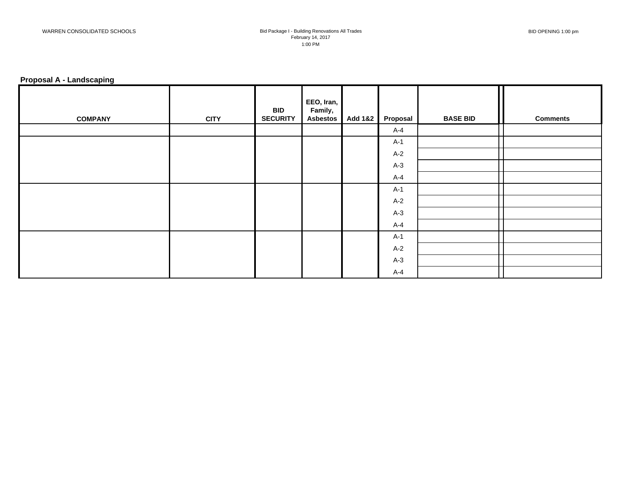#### **Proposal A - Landscaping**

| <b>COMPANY</b> | <b>CITY</b> | <b>BID</b><br><b>SECURITY</b> | EEO, Iran,<br>Family,<br><b>Asbestos</b> | Add 1&2 | Proposal | <b>BASE BID</b> | <b>Comments</b> |
|----------------|-------------|-------------------------------|------------------------------------------|---------|----------|-----------------|-----------------|
|                |             |                               |                                          |         | $A-4$    |                 |                 |
|                |             |                               |                                          |         | $A-1$    |                 |                 |
|                |             |                               |                                          |         | $A-2$    |                 |                 |
|                |             |                               |                                          |         | $A-3$    |                 |                 |
|                |             |                               |                                          |         | $A-4$    |                 |                 |
|                |             |                               |                                          |         | A-1      |                 |                 |
|                |             |                               |                                          |         | $A-2$    |                 |                 |
|                |             |                               |                                          |         | $A-3$    |                 |                 |
|                |             |                               |                                          |         | $A-4$    |                 |                 |
|                |             |                               |                                          |         | $A-1$    |                 |                 |
|                |             |                               |                                          |         | $A-2$    |                 |                 |
|                |             |                               |                                          |         | $A-3$    |                 |                 |
|                |             |                               |                                          |         | $A-4$    |                 |                 |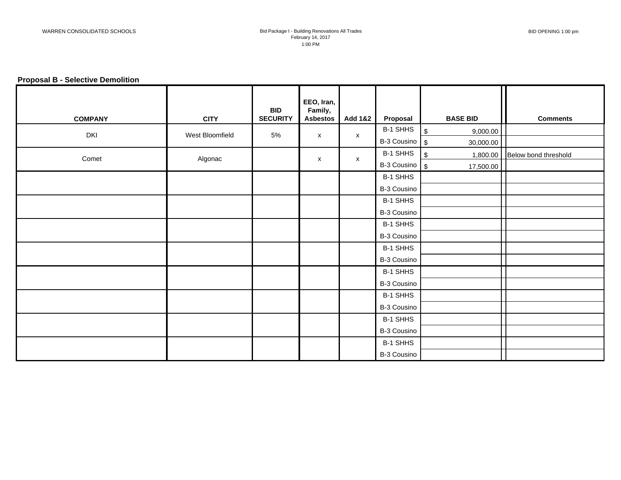## **Proposal B - Selective Demolition**

| <b>COMPANY</b> | <b>CITY</b>     | <b>BID</b><br><b>SECURITY</b> | EEO, Iran,<br>Family,<br><b>Asbestos</b> | <b>Add 1&amp;2</b> | Proposal                  | <b>BASE BID</b>  | <b>Comments</b>                 |
|----------------|-----------------|-------------------------------|------------------------------------------|--------------------|---------------------------|------------------|---------------------------------|
|                |                 |                               |                                          |                    | B-1 SHHS                  | $\,$<br>9,000.00 |                                 |
| DKI            | West Bloomfield | 5%                            | X                                        | $\pmb{\mathsf{X}}$ | $B-3$ Cousino $\sqrt{\$}$ | 30,000.00        |                                 |
| Comet          |                 |                               |                                          |                    | B-1 SHHS                  | $\$\,$           | 1,800.00   Below bond threshold |
|                | Algonac         |                               | X                                        | X                  | $B-3$ Cousino $\sqrt{\$}$ | 17,500.00        |                                 |
|                |                 |                               |                                          |                    | B-1 SHHS                  |                  |                                 |
|                |                 |                               |                                          |                    | B-3 Cousino               |                  |                                 |
|                |                 |                               |                                          |                    | B-1 SHHS                  |                  |                                 |
|                |                 |                               |                                          |                    | B-3 Cousino               |                  |                                 |
|                |                 |                               |                                          |                    | B-1 SHHS                  |                  |                                 |
|                |                 |                               |                                          |                    | B-3 Cousino               |                  |                                 |
|                |                 |                               |                                          |                    | B-1 SHHS                  |                  |                                 |
|                |                 |                               |                                          |                    | B-3 Cousino               |                  |                                 |
|                |                 |                               |                                          |                    | B-1 SHHS                  |                  |                                 |
|                |                 |                               |                                          |                    | B-3 Cousino               |                  |                                 |
|                |                 |                               |                                          |                    | B-1 SHHS                  |                  |                                 |
|                |                 |                               |                                          |                    | B-3 Cousino               |                  |                                 |
|                |                 |                               |                                          |                    | B-1 SHHS                  |                  |                                 |
|                |                 |                               |                                          |                    | B-3 Cousino               |                  |                                 |
|                |                 |                               |                                          |                    | B-1 SHHS                  |                  |                                 |
|                |                 |                               |                                          |                    | B-3 Cousino               |                  |                                 |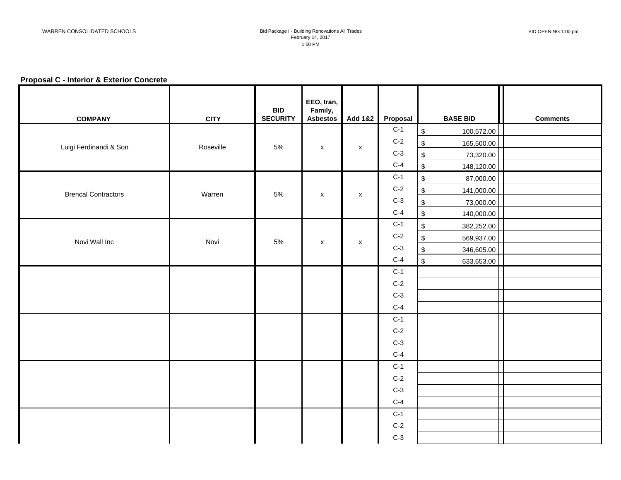## **Proposal C - Interior & Exterior Concrete**

| <b>COMPANY</b>             | <b>CITY</b> | <b>BID</b><br><b>SECURITY</b> | EEO, Iran,<br>Family,<br><b>Asbestos</b> | Add 1&2            | Proposal | <b>BASE BID</b>                       | <b>Comments</b> |
|----------------------------|-------------|-------------------------------|------------------------------------------|--------------------|----------|---------------------------------------|-----------------|
|                            |             |                               |                                          |                    | $C-1$    | $\sqrt{2}$<br>100,572.00              |                 |
| Luigi Ferdinandi & Son     | Roseville   | 5%                            |                                          |                    | $C-2$    | $\,$<br>165,500.00                    |                 |
|                            |             |                               | $\pmb{\mathsf{x}}$                       | $\pmb{\mathsf{X}}$ | $C-3$    | $\sqrt{2}$<br>73,320.00               |                 |
|                            |             |                               |                                          |                    | $C-4$    | $\frac{1}{2}$<br>148,120.00           |                 |
|                            |             |                               |                                          |                    | $C-1$    | $\, \mathbb{S} \,$<br>87,000.00       |                 |
| <b>Brencal Contractors</b> | Warren      | 5%                            | $\mathsf{x}$                             | X                  | $C-2$    | $\,$<br>141,000.00                    |                 |
|                            |             |                               |                                          |                    | $C-3$    | $\,$<br>73,000.00                     |                 |
|                            |             |                               |                                          |                    | $C-4$    | $$\mathbb{S}$$<br>140,000.00          |                 |
|                            |             |                               |                                          |                    | $C-1$    | $$\mathbb{S}$$<br>382,252.00          |                 |
| Novi Wall Inc              | Novi        | $5\%$                         | $\mathsf{x}$                             | $\pmb{\mathsf{X}}$ | $C-2$    | $\,$<br>569,937.00                    |                 |
|                            |             |                               |                                          |                    | $C-3$    | $\sqrt[6]{\frac{1}{2}}$<br>346,605.00 |                 |
|                            |             |                               |                                          |                    | $C-4$    | $\frac{1}{2}$<br>633,653.00           |                 |
|                            |             |                               |                                          |                    | $C-1$    |                                       |                 |
|                            |             |                               |                                          |                    | $C-2$    |                                       |                 |
|                            |             |                               |                                          |                    | $C-3$    |                                       |                 |
|                            |             |                               |                                          |                    | $C-4$    |                                       |                 |
|                            |             |                               |                                          |                    | $C-1$    |                                       |                 |
|                            |             |                               |                                          |                    | $C-2$    |                                       |                 |
|                            |             |                               |                                          |                    | $C-3$    |                                       |                 |
|                            |             |                               |                                          |                    | $C-4$    |                                       |                 |
|                            |             |                               |                                          |                    | $C-1$    |                                       |                 |
|                            |             |                               |                                          |                    | $C-2$    |                                       |                 |
|                            |             |                               |                                          |                    | $C-3$    |                                       |                 |
|                            |             |                               |                                          |                    | $C-4$    |                                       |                 |
|                            |             |                               |                                          |                    | $C-1$    |                                       |                 |
|                            |             |                               |                                          |                    | $C-2$    |                                       |                 |
|                            |             |                               |                                          |                    | $C-3$    |                                       |                 |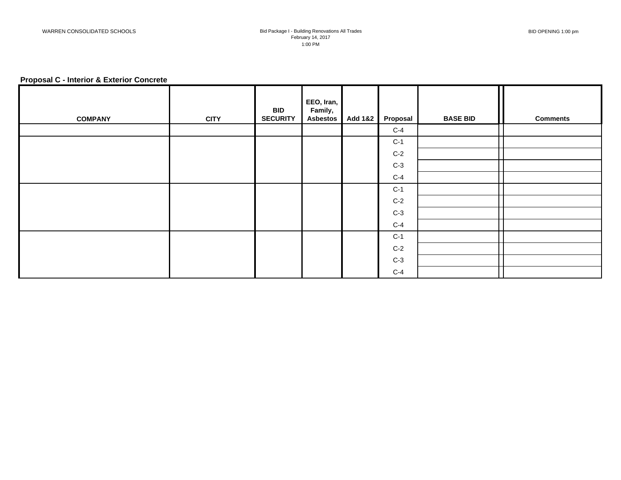## **Proposal C - Interior & Exterior Concrete**

| <b>COMPANY</b> | <b>CITY</b> | <b>BID</b><br><b>SECURITY</b> | EEO, Iran,<br>Family,<br><b>Asbestos</b> | Add 1&2 | Proposal | <b>BASE BID</b> | <b>Comments</b> |
|----------------|-------------|-------------------------------|------------------------------------------|---------|----------|-----------------|-----------------|
|                |             |                               |                                          |         | $C-4$    |                 |                 |
|                |             |                               |                                          |         | $C-1$    |                 |                 |
|                |             |                               |                                          |         | $C-2$    |                 |                 |
|                |             |                               |                                          |         | $C-3$    |                 |                 |
|                |             |                               |                                          |         | $C-4$    |                 |                 |
|                |             |                               |                                          |         | $C-1$    |                 |                 |
|                |             |                               |                                          |         | $C-2$    |                 |                 |
|                |             |                               |                                          |         | $C-3$    |                 |                 |
|                |             |                               |                                          |         | $C-4$    |                 |                 |
|                |             |                               |                                          |         | $C-1$    |                 |                 |
|                |             |                               |                                          |         | $C-2$    |                 |                 |
|                |             |                               |                                          |         | $C-3$    |                 |                 |
|                |             |                               |                                          |         | $C-4$    |                 |                 |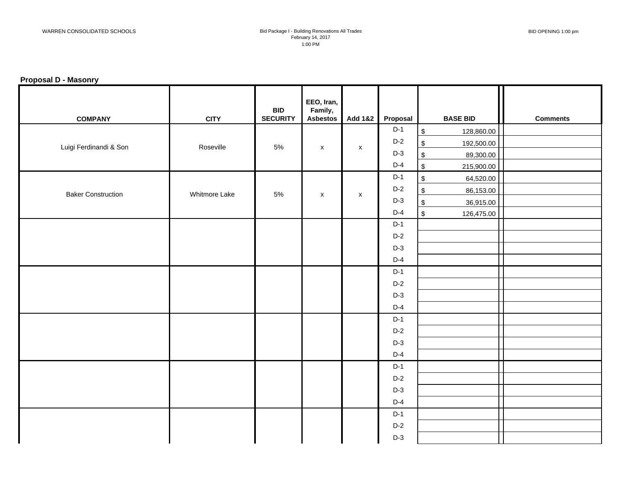## **Proposal D - Masonry**

| <b>COMPANY</b>            | <b>CITY</b>   | <b>BID</b><br><b>SECURITY</b> | EEO, Iran,<br>Family,<br><b>Asbestos</b> | <b>Add 1&amp;2</b> | Proposal |                         | <b>BASE BID</b> | <b>Comments</b> |
|---------------------------|---------------|-------------------------------|------------------------------------------|--------------------|----------|-------------------------|-----------------|-----------------|
|                           |               |                               |                                          |                    | $D-1$    | $$\mathbb{S}$$          | 128,860.00      |                 |
| Luigi Ferdinandi & Son    | Roseville     | 5%                            | $\pmb{\chi}$                             | $\pmb{\mathsf{x}}$ | $D-2$    | $$\mathbb{S}$$          | 192,500.00      |                 |
|                           |               |                               |                                          |                    | $D-3$    | $\sqrt{2}$              | 89,300.00       |                 |
|                           |               |                               |                                          |                    | $D-4$    | $$\mathbb{S}$$          | 215,900.00      |                 |
|                           |               |                               |                                          |                    | $D-1$    | $$\mathbb{S}$$          | 64,520.00       |                 |
| <b>Baker Construction</b> | Whitmore Lake | $5\%$                         | $\pmb{\mathsf{X}}$                       | $\mathsf{x}$       | $D-2$    | $\, \, \mathbb{S} \,$   | 86,153.00       |                 |
|                           |               |                               |                                          |                    | $D-3$    | $$\mathbb{S}$$          | 36,915.00       |                 |
|                           |               |                               |                                          |                    | $D-4$    | $\sqrt[6]{\frac{1}{2}}$ | 126,475.00      |                 |
|                           |               |                               |                                          |                    | $D-1$    |                         |                 |                 |
|                           |               |                               |                                          |                    | $D-2$    |                         |                 |                 |
|                           |               |                               |                                          |                    | $D-3$    |                         |                 |                 |
|                           |               |                               |                                          |                    | $D-4$    |                         |                 |                 |
|                           |               |                               |                                          |                    | $D-1$    |                         |                 |                 |
|                           |               |                               |                                          |                    | $D-2$    |                         |                 |                 |
|                           |               |                               |                                          |                    | $D-3$    |                         |                 |                 |
|                           |               |                               |                                          |                    | $D-4$    |                         |                 |                 |
|                           |               |                               |                                          |                    | $D-1$    |                         |                 |                 |
|                           |               |                               |                                          |                    | $D-2$    |                         |                 |                 |
|                           |               |                               |                                          |                    | $D-3$    |                         |                 |                 |
|                           |               |                               |                                          |                    | $D-4$    |                         |                 |                 |
|                           |               |                               |                                          |                    | $D-1$    |                         |                 |                 |
|                           |               |                               |                                          |                    | $D-2$    |                         |                 |                 |
|                           |               |                               |                                          |                    | $D-3$    |                         |                 |                 |
|                           |               |                               |                                          |                    | $D-4$    |                         |                 |                 |
|                           |               |                               |                                          |                    | $D-1$    |                         |                 |                 |
|                           |               |                               |                                          |                    | $D-2$    |                         |                 |                 |
|                           |               |                               |                                          |                    | $D-3$    |                         |                 |                 |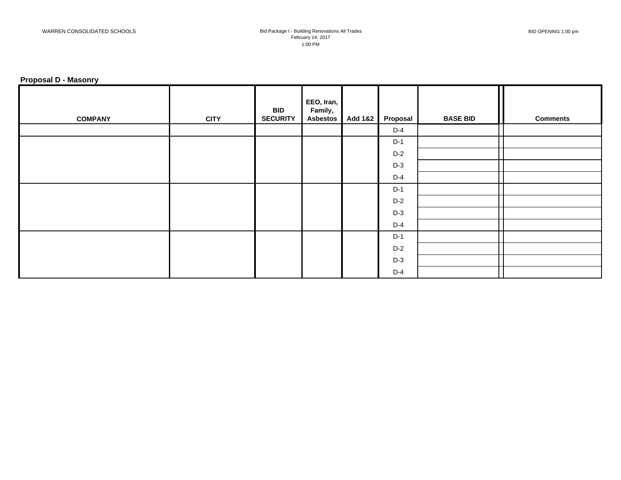## **Proposal D - Masonry**

| <b>COMPANY</b> | <b>CITY</b> | <b>BID</b><br><b>SECURITY</b> | EEO, Iran,<br>Family,<br>Asbestos | Add 1&2 | Proposal | <b>BASE BID</b> | <b>Comments</b> |
|----------------|-------------|-------------------------------|-----------------------------------|---------|----------|-----------------|-----------------|
|                |             |                               |                                   |         | $D-4$    |                 |                 |
|                |             |                               |                                   |         | $D-1$    |                 |                 |
|                |             |                               |                                   |         | $D-2$    |                 |                 |
|                |             |                               |                                   |         | $D-3$    |                 |                 |
|                |             |                               |                                   |         | $D-4$    |                 |                 |
|                |             |                               |                                   |         | $D-1$    |                 |                 |
|                |             |                               |                                   |         | $D-2$    |                 |                 |
|                |             |                               |                                   |         | $D-3$    |                 |                 |
|                |             |                               |                                   |         | $D-4$    |                 |                 |
|                |             |                               |                                   |         | $D-1$    |                 |                 |
|                |             |                               |                                   |         | $D-2$    |                 |                 |
|                |             |                               |                                   |         | $D-3$    |                 |                 |
|                |             |                               |                                   |         | $D-4$    |                 |                 |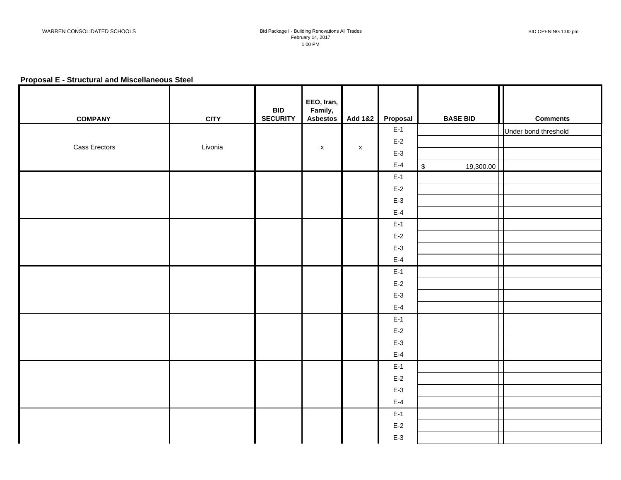## **Proposal E - Structural and Miscellaneous Steel**

| <b>COMPANY</b> | <b>CITY</b> | <b>BID</b><br><b>SECURITY</b> | EEO, Iran,<br>Family,<br><b>Asbestos</b> | Add 1&2     | Proposal | <b>BASE BID</b>         | <b>Comments</b>      |
|----------------|-------------|-------------------------------|------------------------------------------|-------------|----------|-------------------------|----------------------|
|                |             |                               |                                          |             | $E-1$    |                         | Under bond threshold |
| Cass Erectors  |             |                               |                                          |             | $E-2$    |                         |                      |
|                | Livonia     |                               | $\mathsf X$                              | $\mathsf X$ | $E-3$    |                         |                      |
|                |             |                               |                                          |             | $E-4$    | $\sqrt{2}$<br>19,300.00 |                      |
|                |             |                               |                                          |             | $E-1$    |                         |                      |
|                |             |                               |                                          |             | $E-2$    |                         |                      |
|                |             |                               |                                          |             | $E-3$    |                         |                      |
|                |             |                               |                                          |             | $E-4$    |                         |                      |
|                |             |                               |                                          |             | $E-1$    |                         |                      |
|                |             |                               |                                          |             | $E-2$    |                         |                      |
|                |             |                               |                                          |             | $E-3$    |                         |                      |
|                |             |                               |                                          |             | $E-4$    |                         |                      |
|                |             |                               |                                          |             | $E-1$    |                         |                      |
|                |             |                               |                                          |             | $E-2$    |                         |                      |
|                |             |                               |                                          |             | $E-3$    |                         |                      |
|                |             |                               |                                          |             | $E-4$    |                         |                      |
|                |             |                               |                                          |             | $E-1$    |                         |                      |
|                |             |                               |                                          |             | $E-2$    |                         |                      |
|                |             |                               |                                          |             | $E-3$    |                         |                      |
|                |             |                               |                                          |             | $E-4$    |                         |                      |
|                |             |                               |                                          |             | $E-1$    |                         |                      |
|                |             |                               |                                          |             | $E-2$    |                         |                      |
|                |             |                               |                                          |             | $E-3$    |                         |                      |
|                |             |                               |                                          |             | $E-4$    |                         |                      |
|                |             |                               |                                          |             | $E-1$    |                         |                      |
|                |             |                               |                                          |             | $E-2$    |                         |                      |
|                |             |                               |                                          |             | $E-3$    |                         |                      |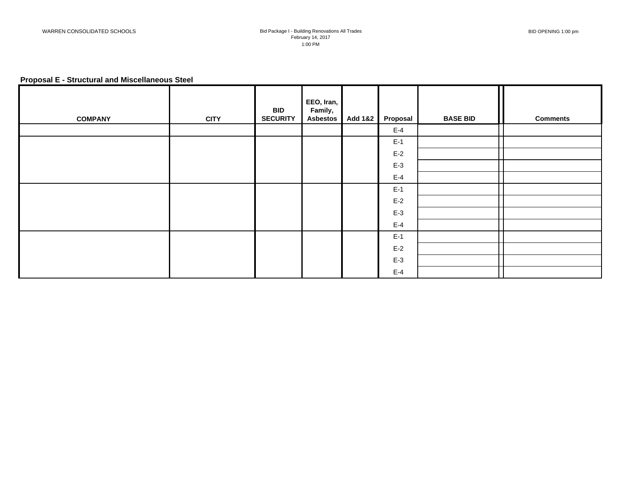## **Proposal E - Structural and Miscellaneous Steel**

| <b>COMPANY</b> | <b>CITY</b> | <b>BID</b><br><b>SECURITY</b> | EEO, Iran,<br>Family,<br><b>Asbestos</b> | <b>Add 1&amp;2</b> | Proposal | <b>BASE BID</b> | <b>Comments</b> |
|----------------|-------------|-------------------------------|------------------------------------------|--------------------|----------|-----------------|-----------------|
|                |             |                               |                                          |                    | $E-4$    |                 |                 |
|                |             |                               |                                          |                    | $E-1$    |                 |                 |
|                |             |                               |                                          |                    | $E-2$    |                 |                 |
|                |             |                               |                                          |                    | $E-3$    |                 |                 |
|                |             |                               |                                          |                    | $E-4$    |                 |                 |
|                |             |                               |                                          |                    | $E-1$    |                 |                 |
|                |             |                               |                                          |                    | $E-2$    |                 |                 |
|                |             |                               |                                          |                    | $E-3$    |                 |                 |
|                |             |                               |                                          |                    | $E-4$    |                 |                 |
|                |             |                               |                                          |                    | $E-1$    |                 |                 |
|                |             |                               |                                          |                    | $E-2$    |                 |                 |
|                |             |                               |                                          |                    | $E-3$    |                 |                 |
|                |             |                               |                                          |                    | $E-4$    |                 |                 |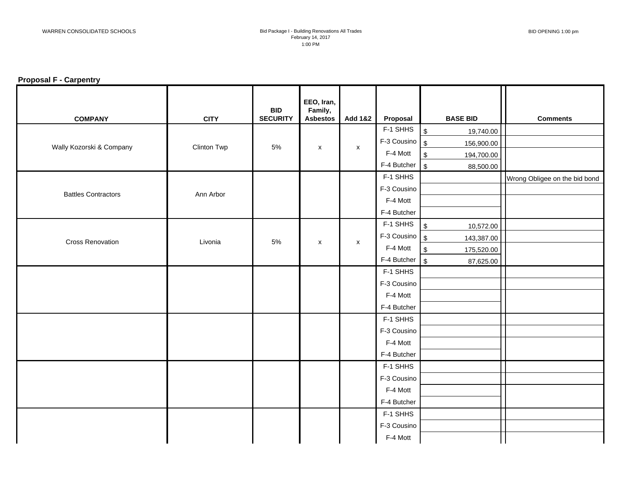## **Proposal F - Carpentry**

| <b>COMPANY</b>             | <b>CITY</b>        | <b>BID</b><br><b>SECURITY</b> | EEO, Iran,<br>Family,<br><b>Asbestos</b> | <b>Add 1&amp;2</b> | Proposal                    | <b>BASE BID</b>                       | <b>Comments</b>               |
|----------------------------|--------------------|-------------------------------|------------------------------------------|--------------------|-----------------------------|---------------------------------------|-------------------------------|
|                            |                    |                               |                                          |                    | F-1 SHHS                    | $\sqrt{2}$<br>19,740.00               |                               |
| Wally Kozorski & Company   | <b>Clinton Twp</b> | 5%                            | $\pmb{\mathsf{x}}$                       | $\pmb{\mathsf{X}}$ | F-3 Cousino                 | $\sqrt{3}$<br>156,900.00              |                               |
|                            |                    |                               |                                          |                    | F-4 Mott                    | $\sqrt[6]{\frac{1}{2}}$<br>194,700.00 |                               |
|                            |                    |                               |                                          |                    | F-4 Butcher                 | $\sqrt{3}$<br>88,500.00               |                               |
|                            |                    |                               |                                          |                    | F-1 SHHS                    |                                       | Wrong Obligee on the bid bond |
| <b>Battles Contractors</b> | Ann Arbor          |                               |                                          |                    | F-3 Cousino                 |                                       |                               |
|                            |                    |                               |                                          |                    | F-4 Mott                    |                                       |                               |
|                            |                    |                               |                                          |                    | F-4 Butcher                 |                                       |                               |
|                            |                    |                               |                                          |                    | F-1 SHHS                    | $\sqrt{3}$<br>10,572.00               |                               |
| <b>Cross Renovation</b>    | Livonia            | 5%                            |                                          |                    | $F-3$ Cousino $\frac{1}{3}$ | 143,387.00                            |                               |
|                            |                    |                               | X                                        | $\pmb{\mathsf{X}}$ | F-4 Mott                    | $\sqrt[6]{3}$<br>175,520.00           |                               |
|                            |                    |                               |                                          |                    | F-4 Butcher                 | $\sqrt{3}$<br>87,625.00               |                               |
|                            |                    |                               |                                          |                    | F-1 SHHS                    |                                       |                               |
|                            |                    |                               |                                          |                    | F-3 Cousino                 |                                       |                               |
|                            |                    |                               |                                          |                    | F-4 Mott                    |                                       |                               |
|                            |                    |                               |                                          |                    | F-4 Butcher                 |                                       |                               |
|                            |                    |                               |                                          |                    | F-1 SHHS                    |                                       |                               |
|                            |                    |                               |                                          |                    | F-3 Cousino                 |                                       |                               |
|                            |                    |                               |                                          |                    | F-4 Mott                    |                                       |                               |
|                            |                    |                               |                                          |                    | F-4 Butcher                 |                                       |                               |
|                            |                    |                               |                                          |                    | F-1 SHHS                    |                                       |                               |
|                            |                    |                               |                                          |                    | F-3 Cousino                 |                                       |                               |
|                            |                    |                               |                                          |                    | F-4 Mott                    |                                       |                               |
|                            |                    |                               |                                          |                    | F-4 Butcher                 |                                       |                               |
|                            |                    |                               |                                          |                    | F-1 SHHS                    |                                       |                               |
|                            |                    |                               |                                          |                    | F-3 Cousino                 |                                       |                               |
|                            |                    |                               |                                          |                    | F-4 Mott                    |                                       |                               |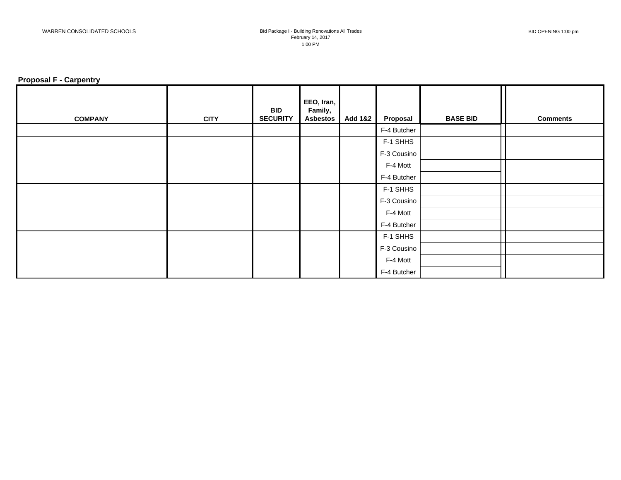## **Proposal F - Carpentry**

| <b>COMPANY</b> | <b>CITY</b> | <b>BID</b><br><b>SECURITY</b> | EEO, Iran,<br>Family,<br><b>Asbestos</b> | <b>Add 1&amp;2</b> | Proposal    | <b>BASE BID</b> | <b>Comments</b> |
|----------------|-------------|-------------------------------|------------------------------------------|--------------------|-------------|-----------------|-----------------|
|                |             |                               |                                          |                    | F-4 Butcher |                 |                 |
|                |             |                               |                                          |                    | F-1 SHHS    |                 |                 |
|                |             |                               |                                          |                    | F-3 Cousino |                 |                 |
|                |             |                               |                                          |                    | F-4 Mott    |                 |                 |
|                |             |                               |                                          |                    | F-4 Butcher |                 |                 |
|                |             |                               |                                          |                    | F-1 SHHS    |                 |                 |
|                |             |                               |                                          |                    | F-3 Cousino |                 |                 |
|                |             |                               |                                          |                    | F-4 Mott    |                 |                 |
|                |             |                               |                                          |                    | F-4 Butcher |                 |                 |
|                |             |                               |                                          |                    | F-1 SHHS    |                 |                 |
|                |             |                               |                                          |                    | F-3 Cousino |                 |                 |
|                |             |                               |                                          |                    | F-4 Mott    |                 |                 |
|                |             |                               |                                          |                    | F-4 Butcher |                 |                 |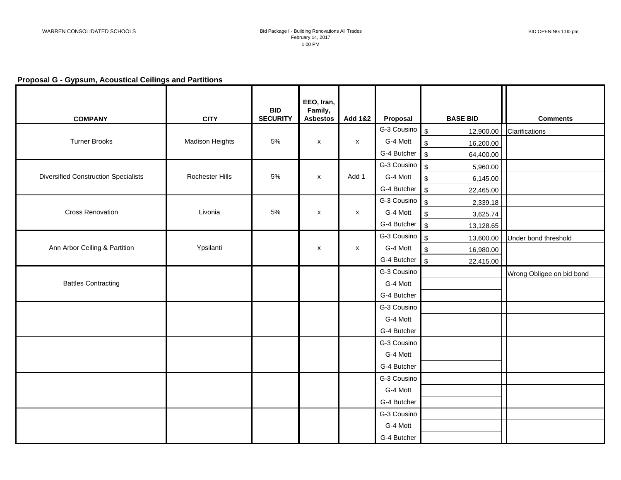# **Proposal G - Gypsum, Acoustical Ceilings and Partitions**

| <b>COMPANY</b>                              | <b>CITY</b>            | <b>BID</b><br><b>SECURITY</b> | EEO, Iran,<br>Family,<br><b>Asbestos</b> | <b>Add 1&amp;2</b> | Proposal                | <b>BASE BID</b>                       | <b>Comments</b>           |
|---------------------------------------------|------------------------|-------------------------------|------------------------------------------|--------------------|-------------------------|---------------------------------------|---------------------------|
|                                             |                        |                               |                                          |                    | G-3 Cousino             | $\mathfrak{S}$<br>12,900.00           | Clarifications            |
| <b>Turner Brooks</b>                        | <b>Madison Heights</b> | 5%                            | $\pmb{\times}$                           | $\pmb{\mathsf{X}}$ | G-4 Mott                | $$\mathbb{S}$$<br>16,200.00           |                           |
|                                             |                        |                               |                                          |                    | G-4 Butcher             | $$\mathbb{S}$$<br>64,400.00           |                           |
|                                             |                        |                               |                                          |                    | G-3 Cousino             | $\mathfrak{S}$<br>5,960.00            |                           |
| <b>Diversified Construction Specialists</b> | Rochester Hills        | $5\%$                         | $\pmb{\times}$                           | Add 1              | G-4 Mott                | $\boldsymbol{\mathsf{S}}$<br>6,145.00 |                           |
|                                             |                        |                               |                                          |                    | G-4 Butcher             | $\sqrt{3}$<br>22,465.00               |                           |
|                                             |                        |                               |                                          |                    | G-3 Cousino $\int$      | 2,339.18                              |                           |
| <b>Cross Renovation</b>                     | Livonia                | 5%                            | $\pmb{\mathsf{x}}$                       | $\pmb{\mathsf{X}}$ | G-4 Mott                | $$\mathbb{S}$$<br>3,625.74            |                           |
|                                             |                        |                               |                                          |                    | G-4 Butcher             | $\sqrt{3}$<br>13,128.65               |                           |
|                                             |                        |                               |                                          |                    | G-3 Cousino $\sqrt{\$}$ | 13,600.00                             | Under bond threshold      |
| Ann Arbor Ceiling & Partition               | Ypsilanti              |                               | $\pmb{\times}$                           | $\mathsf X$        | G-4 Mott                | $\sqrt[6]{\frac{1}{2}}$<br>16,980.00  |                           |
|                                             |                        |                               |                                          |                    | G-4 Butcher             | $\mathfrak s$<br>22,415.00            |                           |
|                                             |                        |                               |                                          |                    | G-3 Cousino             |                                       | Wrong Obligee on bid bond |
| <b>Battles Contracting</b>                  |                        |                               |                                          |                    | G-4 Mott                |                                       |                           |
|                                             |                        |                               |                                          |                    | G-4 Butcher             |                                       |                           |
|                                             |                        |                               |                                          |                    | G-3 Cousino             |                                       |                           |
|                                             |                        |                               |                                          |                    | G-4 Mott                |                                       |                           |
|                                             |                        |                               |                                          |                    | G-4 Butcher             |                                       |                           |
|                                             |                        |                               |                                          |                    | G-3 Cousino             |                                       |                           |
|                                             |                        |                               |                                          |                    | G-4 Mott                |                                       |                           |
|                                             |                        |                               |                                          |                    | G-4 Butcher             |                                       |                           |
|                                             |                        |                               |                                          |                    | G-3 Cousino             |                                       |                           |
|                                             |                        |                               |                                          |                    | G-4 Mott                |                                       |                           |
|                                             |                        |                               |                                          |                    | G-4 Butcher             |                                       |                           |
|                                             |                        |                               |                                          |                    | G-3 Cousino             |                                       |                           |
|                                             |                        |                               |                                          |                    | G-4 Mott                |                                       |                           |
|                                             |                        |                               |                                          |                    | G-4 Butcher             |                                       |                           |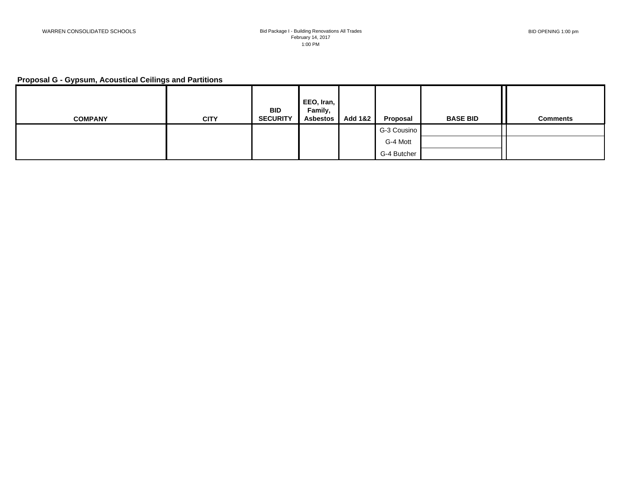# **Proposal G - Gypsum, Acoustical Ceilings and Partitions**

| <b>COMPANY</b> | <b>CITY</b> | <b>BID</b><br><b>SECURITY</b> | EEO, Iran,<br>Family,<br><b>Asbestos</b> | <b>Add 1&amp;2</b> | Proposal    | <b>BASE BID</b> | <b>Comments</b> |
|----------------|-------------|-------------------------------|------------------------------------------|--------------------|-------------|-----------------|-----------------|
|                |             |                               |                                          |                    | G-3 Cousino |                 |                 |
|                |             |                               |                                          |                    | G-4 Mott    |                 |                 |
|                |             |                               |                                          |                    | G-4 Butcher |                 |                 |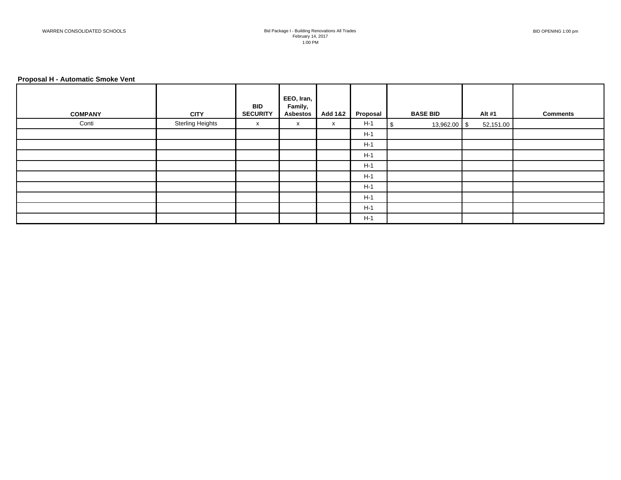#### **Proposal H - Automatic Smoke Vent**

|                |                         | <b>BID</b>      | EEO, Iran,<br>Family, |                    |          |                 |           |                 |
|----------------|-------------------------|-----------------|-----------------------|--------------------|----------|-----------------|-----------|-----------------|
| <b>COMPANY</b> | <b>CITY</b>             | <b>SECURITY</b> | <b>Asbestos</b>       | <b>Add 1&amp;2</b> | Proposal | <b>BASE BID</b> | Alt #1    | <b>Comments</b> |
| Conti          | <b>Sterling Heights</b> | X               | X                     | X                  | $H-1$    | 13,962.00 \$    | 52,151.00 |                 |
|                |                         |                 |                       |                    | $H-1$    |                 |           |                 |
|                |                         |                 |                       |                    | $H-1$    |                 |           |                 |
|                |                         |                 |                       |                    | $H-1$    |                 |           |                 |
|                |                         |                 |                       |                    | $H-1$    |                 |           |                 |
|                |                         |                 |                       |                    | $H-1$    |                 |           |                 |
|                |                         |                 |                       |                    | $H-1$    |                 |           |                 |
|                |                         |                 |                       |                    | $H-1$    |                 |           |                 |
|                |                         |                 |                       |                    | $H-1$    |                 |           |                 |
|                |                         |                 |                       |                    | $H-1$    |                 |           |                 |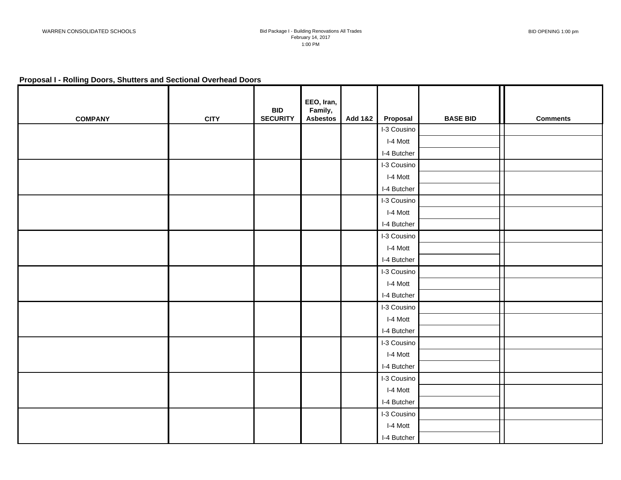## **Proposal I - Rolling Doors, Shutters and Sectional Overhead Doors**

| <b>COMPANY</b> | <b>CITY</b> | <b>BID</b><br><b>SECURITY</b> | EEO, Iran,<br>Family,<br><b>Asbestos</b> | <b>Add 1&amp;2</b> | Proposal    | <b>BASE BID</b> | <b>Comments</b> |
|----------------|-------------|-------------------------------|------------------------------------------|--------------------|-------------|-----------------|-----------------|
|                |             |                               |                                          |                    | I-3 Cousino |                 |                 |
|                |             |                               |                                          |                    | I-4 Mott    |                 |                 |
|                |             |                               |                                          |                    | I-4 Butcher |                 |                 |
|                |             |                               |                                          |                    | I-3 Cousino |                 |                 |
|                |             |                               |                                          |                    | I-4 Mott    |                 |                 |
|                |             |                               |                                          |                    | I-4 Butcher |                 |                 |
|                |             |                               |                                          |                    | I-3 Cousino |                 |                 |
|                |             |                               |                                          |                    | I-4 Mott    |                 |                 |
|                |             |                               |                                          |                    | I-4 Butcher |                 |                 |
|                |             |                               |                                          |                    | I-3 Cousino |                 |                 |
|                |             |                               |                                          |                    | I-4 Mott    |                 |                 |
|                |             |                               |                                          |                    | I-4 Butcher |                 |                 |
|                |             |                               |                                          |                    | I-3 Cousino |                 |                 |
|                |             |                               |                                          |                    | I-4 Mott    |                 |                 |
|                |             |                               |                                          |                    | I-4 Butcher |                 |                 |
|                |             |                               |                                          |                    | I-3 Cousino |                 |                 |
|                |             |                               |                                          |                    | I-4 Mott    |                 |                 |
|                |             |                               |                                          |                    | I-4 Butcher |                 |                 |
|                |             |                               |                                          |                    | I-3 Cousino |                 |                 |
|                |             |                               |                                          |                    | I-4 Mott    |                 |                 |
|                |             |                               |                                          |                    | I-4 Butcher |                 |                 |
|                |             |                               |                                          |                    | I-3 Cousino |                 |                 |
|                |             |                               |                                          |                    | I-4 Mott    |                 |                 |
|                |             |                               |                                          |                    | I-4 Butcher |                 |                 |
|                |             |                               |                                          |                    | I-3 Cousino |                 |                 |
|                |             |                               |                                          |                    | I-4 Mott    |                 |                 |
|                |             |                               |                                          |                    | I-4 Butcher |                 |                 |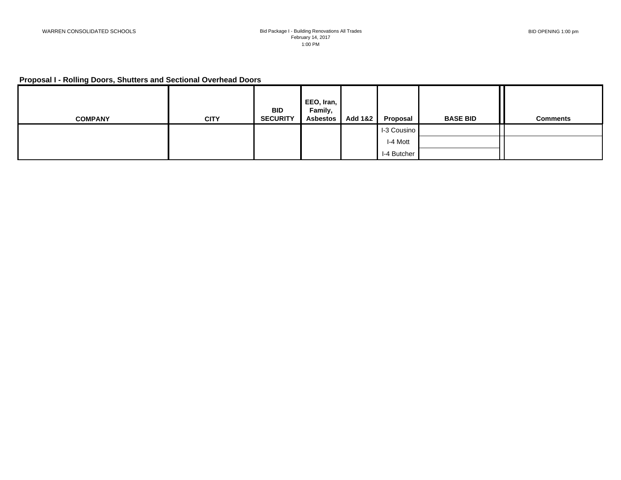# **Proposal I - Rolling Doors, Shutters and Sectional Overhead Doors**

|                |             | <b>BID</b>      | EEO, Iran,<br>Family, |         |             |                 |                 |
|----------------|-------------|-----------------|-----------------------|---------|-------------|-----------------|-----------------|
| <b>COMPANY</b> | <b>CITY</b> | <b>SECURITY</b> | <b>Asbestos</b>       | Add 1&2 | Proposal    | <b>BASE BID</b> | <b>Comments</b> |
|                |             |                 |                       |         | I-3 Cousino |                 |                 |
|                |             |                 |                       |         | I-4 Mott    |                 |                 |
|                |             |                 |                       |         | I-4 Butcher |                 |                 |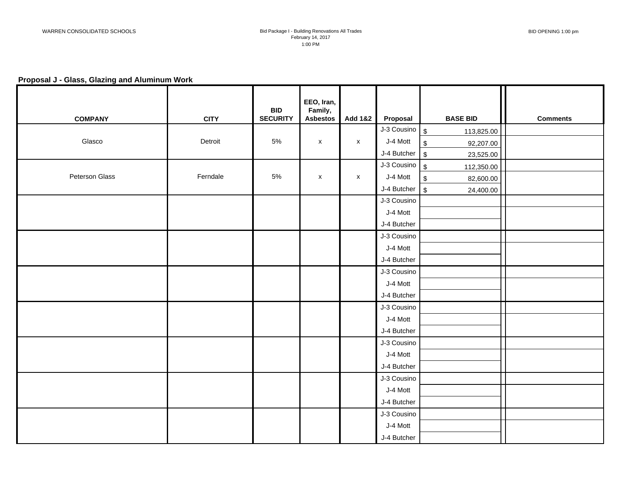## **Proposal J - Glass, Glazing and Aluminum Work**

| <b>COMPANY</b> | <b>CITY</b> | <b>BID</b><br><b>SECURITY</b> | EEO, Iran,<br>Family,<br><b>Asbestos</b> | Add 1&2            | Proposal                    | <b>BASE BID</b>                      | <b>Comments</b> |
|----------------|-------------|-------------------------------|------------------------------------------|--------------------|-----------------------------|--------------------------------------|-----------------|
|                |             |                               |                                          |                    | $J-3$ Cousino $\boxed{\$}$  | 113,825.00                           |                 |
| Glasco         | Detroit     | 5%                            | $\pmb{\mathsf{X}}$                       | $\mathsf{x}$       | J-4 Mott                    | $\sqrt[6]{\frac{1}{2}}$<br>92,207.00 |                 |
|                |             |                               |                                          |                    | $J-4$ Butcher $\frac{1}{3}$ | 23,525.00                            |                 |
|                |             |                               |                                          |                    | J-3 Cousino                 | $\sqrt{3}$<br>112,350.00             |                 |
| Peterson Glass | Ferndale    | 5%                            | $\pmb{\mathsf{X}}$                       | $\pmb{\mathsf{X}}$ | J-4 Mott                    | $\sqrt[6]{3}$<br>82,600.00           |                 |
|                |             |                               |                                          |                    | $J-4$ Butcher $\frac{1}{3}$ | 24,400.00                            |                 |
|                |             |                               |                                          |                    | J-3 Cousino                 |                                      |                 |
|                |             |                               |                                          |                    | J-4 Mott                    |                                      |                 |
|                |             |                               |                                          |                    | J-4 Butcher                 |                                      |                 |
|                |             |                               |                                          |                    | J-3 Cousino                 |                                      |                 |
|                |             |                               |                                          |                    | J-4 Mott                    |                                      |                 |
|                |             |                               |                                          |                    | J-4 Butcher                 |                                      |                 |
|                |             |                               |                                          |                    | J-3 Cousino                 |                                      |                 |
|                |             |                               |                                          |                    | J-4 Mott                    |                                      |                 |
|                |             |                               |                                          |                    | J-4 Butcher                 |                                      |                 |
|                |             |                               |                                          |                    | J-3 Cousino                 |                                      |                 |
|                |             |                               |                                          |                    | J-4 Mott                    |                                      |                 |
|                |             |                               |                                          |                    | J-4 Butcher                 |                                      |                 |
|                |             |                               |                                          |                    | J-3 Cousino                 |                                      |                 |
|                |             |                               |                                          |                    | J-4 Mott                    |                                      |                 |
|                |             |                               |                                          |                    | J-4 Butcher                 |                                      |                 |
|                |             |                               |                                          |                    | J-3 Cousino                 |                                      |                 |
|                |             |                               |                                          |                    | J-4 Mott                    |                                      |                 |
|                |             |                               |                                          |                    | J-4 Butcher                 |                                      |                 |
|                |             |                               |                                          |                    | J-3 Cousino                 |                                      |                 |
|                |             |                               |                                          |                    | J-4 Mott                    |                                      |                 |
|                |             |                               |                                          |                    | J-4 Butcher                 |                                      |                 |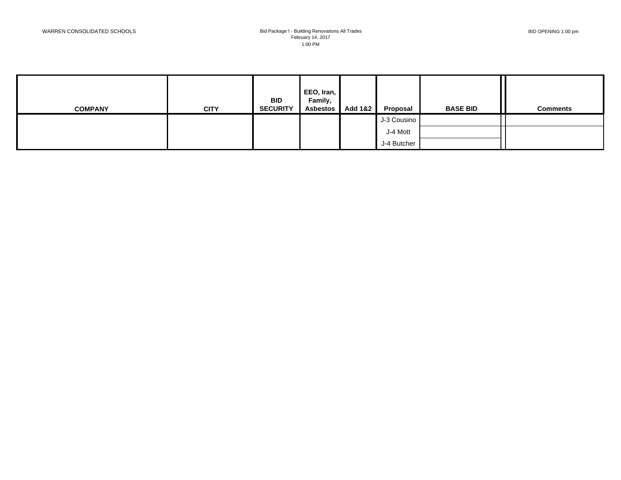| <b>COMPANY</b> | <b>CITY</b> | <b>BID</b><br><b>SECURITY</b> | EEO, Iran,<br>Family,<br><b>Asbestos</b> | <b>Add 1&amp;2</b> | Proposal    | <b>BASE BID</b> | <b>Comments</b> |
|----------------|-------------|-------------------------------|------------------------------------------|--------------------|-------------|-----------------|-----------------|
|                |             |                               |                                          |                    | J-3 Cousino |                 |                 |
|                |             |                               |                                          |                    | J-4 Mott    |                 |                 |
|                |             |                               |                                          |                    | J-4 Butcher |                 |                 |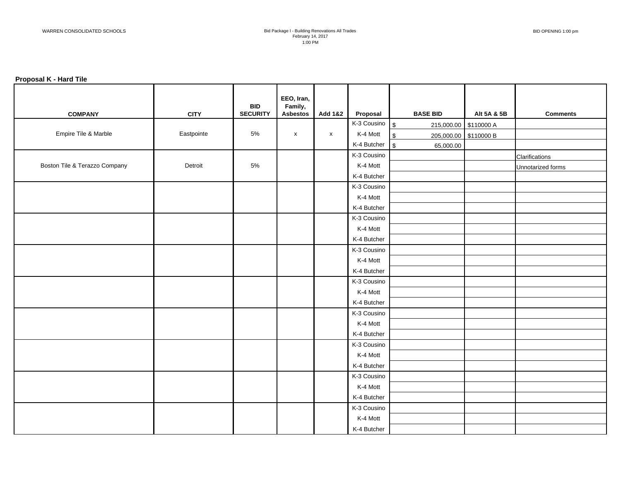#### **Proposal K - Hard Tile**

| <b>COMPANY</b>                | <b>CITY</b> | <b>BID</b><br><b>SECURITY</b> | EEO, Iran,<br>Family,<br><b>Asbestos</b> | <b>Add 1&amp;2</b> | Proposal                    | <b>BASE BID</b>                     | Alt 5A & 5B | <b>Comments</b>   |
|-------------------------------|-------------|-------------------------------|------------------------------------------|--------------------|-----------------------------|-------------------------------------|-------------|-------------------|
|                               |             |                               |                                          |                    | $K-3$ Cousino $\frac{1}{3}$ | 215,000.00 \$110000 A               |             |                   |
| Empire Tile & Marble          | Eastpointe  | $5\%$                         | $\pmb{\mathsf{x}}$                       | $\mathsf{x}$       | K-4 Mott                    | $\sqrt{2}$<br>205,000.00 \$110000 B |             |                   |
|                               |             |                               |                                          |                    | $K-4$ Butcher $\$\$         | 65,000.00                           |             |                   |
|                               |             |                               |                                          |                    | K-3 Cousino                 |                                     |             | Clarifications    |
| Boston Tile & Terazzo Company | Detroit     | 5%                            |                                          |                    | K-4 Mott                    |                                     |             | Unnotarized forms |
|                               |             |                               |                                          |                    | K-4 Butcher                 |                                     |             |                   |
|                               |             |                               |                                          |                    | K-3 Cousino                 |                                     |             |                   |
|                               |             |                               |                                          |                    | K-4 Mott                    |                                     |             |                   |
|                               |             |                               |                                          |                    | K-4 Butcher                 |                                     |             |                   |
|                               |             |                               |                                          |                    | K-3 Cousino                 |                                     |             |                   |
|                               |             |                               |                                          |                    | K-4 Mott                    |                                     |             |                   |
|                               |             |                               |                                          |                    | K-4 Butcher                 |                                     |             |                   |
|                               |             |                               |                                          |                    | K-3 Cousino                 |                                     |             |                   |
|                               |             |                               |                                          |                    | K-4 Mott                    |                                     |             |                   |
|                               |             |                               |                                          |                    | K-4 Butcher                 |                                     |             |                   |
|                               |             |                               |                                          |                    | K-3 Cousino                 |                                     |             |                   |
|                               |             |                               |                                          |                    | K-4 Mott                    |                                     |             |                   |
|                               |             |                               |                                          |                    | K-4 Butcher                 |                                     |             |                   |
|                               |             |                               |                                          |                    | K-3 Cousino                 |                                     |             |                   |
|                               |             |                               |                                          |                    | K-4 Mott                    |                                     |             |                   |
|                               |             |                               |                                          |                    | K-4 Butcher                 |                                     |             |                   |
|                               |             |                               |                                          |                    | K-3 Cousino                 |                                     |             |                   |
|                               |             |                               |                                          |                    | K-4 Mott                    |                                     |             |                   |
|                               |             |                               |                                          |                    | K-4 Butcher                 |                                     |             |                   |
|                               |             |                               |                                          |                    | K-3 Cousino                 |                                     |             |                   |
|                               |             |                               |                                          |                    | K-4 Mott                    |                                     |             |                   |
|                               |             |                               |                                          |                    | K-4 Butcher                 |                                     |             |                   |
|                               |             |                               |                                          |                    | K-3 Cousino                 |                                     |             |                   |
|                               |             |                               |                                          |                    | K-4 Mott                    |                                     |             |                   |
|                               |             |                               |                                          |                    | K-4 Butcher                 |                                     |             |                   |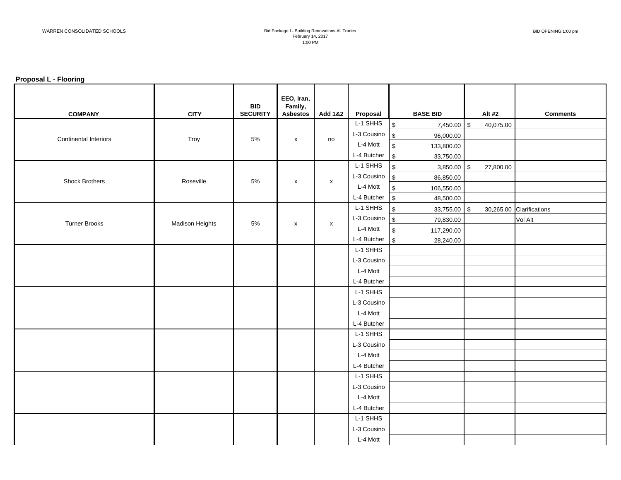#### **Proposal L - Flooring**

| <b>COMPANY</b>               | <b>CITY</b>     | <b>BID</b><br><b>SECURITY</b> | EEO, Iran,<br>Family,<br><b>Asbestos</b> | <b>Add 1&amp;2</b> | Proposal                  | <b>BASE BID</b>                | Alt #2    | <b>Comments</b>          |
|------------------------------|-----------------|-------------------------------|------------------------------------------|--------------------|---------------------------|--------------------------------|-----------|--------------------------|
|                              |                 |                               |                                          |                    | L-1 SHHS                  | \$<br>7,450.00 \$              | 40,075.00 |                          |
|                              |                 |                               |                                          |                    | L-3 Cousino $\int$        | 96,000.00                      |           |                          |
| <b>Continental Interiors</b> | Troy            | $5\%$                         | $\pmb{\mathsf{x}}$                       | no                 | L-4 Mott                  | $\sqrt{3}$<br>133,800.00       |           |                          |
|                              |                 |                               |                                          |                    | L-4 Butcher               | $\sqrt{3}$<br>33,750.00        |           |                          |
|                              |                 |                               |                                          |                    | L-1 SHHS                  | $\sqrt[6]{2}$<br>$3,850.00$ \$ | 27,800.00 |                          |
| Shock Brothers               | Roseville       | 5%                            |                                          |                    | L-3 Cousino $\$\$         | 86,850.00                      |           |                          |
|                              |                 |                               | $\pmb{\mathsf{x}}$                       | $\pmb{\mathsf{X}}$ | L-4 Mott                  | $\sqrt[6]{3}$<br>106,550.00    |           |                          |
|                              |                 |                               |                                          |                    | L-4 Butcher               | $\sqrt{3}$<br>48,500.00        |           |                          |
|                              |                 |                               |                                          |                    | L-1 SHHS                  | $\sqrt[6]{2}$<br>33,755.00 \$  |           | 30,265.00 Clarifications |
| <b>Turner Brooks</b>         | Madison Heights | 5%                            | $\pmb{\mathsf{x}}$                       | $\pmb{\mathsf{X}}$ | L-3 Cousino $\int$        | 79,830.00                      |           | Vol Alt                  |
|                              |                 |                               |                                          |                    | L-4 Mott                  | $\sqrt[6]{3}$<br>117,290.00    |           |                          |
|                              |                 |                               |                                          |                    | $L-4$ Butcher $\sqrt{\$}$ | 28,240.00                      |           |                          |
|                              |                 |                               |                                          |                    | L-1 SHHS                  |                                |           |                          |
|                              |                 |                               |                                          |                    | L-3 Cousino               |                                |           |                          |
|                              |                 |                               |                                          |                    | L-4 Mott                  |                                |           |                          |
|                              |                 |                               |                                          |                    | L-4 Butcher               |                                |           |                          |
|                              |                 |                               |                                          |                    | L-1 SHHS                  |                                |           |                          |
|                              |                 |                               |                                          |                    | L-3 Cousino               |                                |           |                          |
|                              |                 |                               |                                          |                    | L-4 Mott                  |                                |           |                          |
|                              |                 |                               |                                          |                    | L-4 Butcher               |                                |           |                          |
|                              |                 |                               |                                          |                    | L-1 SHHS                  |                                |           |                          |
|                              |                 |                               |                                          |                    | L-3 Cousino               |                                |           |                          |
|                              |                 |                               |                                          |                    | L-4 Mott                  |                                |           |                          |
|                              |                 |                               |                                          |                    | L-4 Butcher               |                                |           |                          |
|                              |                 |                               |                                          |                    | L-1 SHHS                  |                                |           |                          |
|                              |                 |                               |                                          |                    | L-3 Cousino               |                                |           |                          |
|                              |                 |                               |                                          |                    | L-4 Mott                  |                                |           |                          |
|                              |                 |                               |                                          |                    | L-4 Butcher               |                                |           |                          |
|                              |                 |                               |                                          |                    | L-1 SHHS                  |                                |           |                          |
|                              |                 |                               |                                          |                    | L-3 Cousino               |                                |           |                          |
|                              |                 |                               |                                          |                    | L-4 Mott                  |                                |           |                          |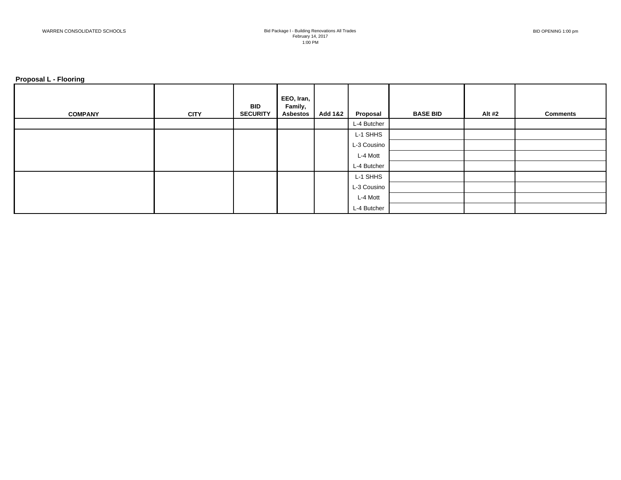#### **Proposal L - Flooring**

| <b>COMPANY</b> | <b>CITY</b> | <b>BID</b><br><b>SECURITY</b> | EEO, Iran,<br>Family,<br><b>Asbestos</b> | <b>Add 1&amp;2</b> | Proposal    | <b>BASE BID</b> | Alt #2 | <b>Comments</b> |
|----------------|-------------|-------------------------------|------------------------------------------|--------------------|-------------|-----------------|--------|-----------------|
|                |             |                               |                                          |                    | L-4 Butcher |                 |        |                 |
|                |             |                               |                                          |                    | L-1 SHHS    |                 |        |                 |
|                |             |                               |                                          |                    | L-3 Cousino |                 |        |                 |
|                |             |                               |                                          |                    | L-4 Mott    |                 |        |                 |
|                |             |                               |                                          |                    | L-4 Butcher |                 |        |                 |
|                |             |                               |                                          |                    | L-1 SHHS    |                 |        |                 |
|                |             |                               |                                          |                    | L-3 Cousino |                 |        |                 |
|                |             |                               |                                          |                    | L-4 Mott    |                 |        |                 |
|                |             |                               |                                          |                    | L-4 Butcher |                 |        |                 |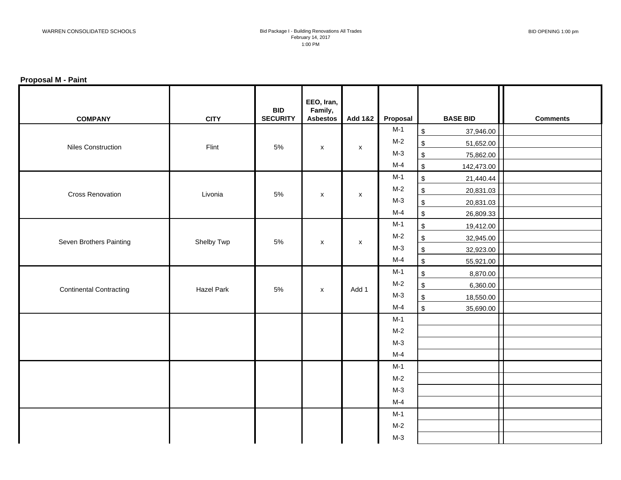## **Proposal M - Paint**

| <b>COMPANY</b>                 | <b>CITY</b>       | <b>BID</b><br><b>SECURITY</b> | EEO, Iran,<br>Family,<br><b>Asbestos</b> | <b>Add 1&amp;2</b> | Proposal | <b>BASE BID</b>                        | <b>Comments</b> |
|--------------------------------|-------------------|-------------------------------|------------------------------------------|--------------------|----------|----------------------------------------|-----------------|
|                                |                   |                               |                                          |                    | $M-1$    | $\, \, \mathbb{S} \,$<br>37,946.00     |                 |
| <b>Niles Construction</b>      | Flint             | $5\%$                         | $\pmb{\mathsf{x}}$                       | $\pmb{\mathsf{X}}$ | $M-2$    | $\,$<br>51,652.00                      |                 |
|                                |                   |                               |                                          |                    | $M-3$    | $\, \, \mathbb{S} \,$<br>75,862.00     |                 |
|                                |                   |                               |                                          |                    | $M-4$    | $$\mathbb{S}$$<br>142,473.00           |                 |
|                                |                   |                               |                                          |                    | $M-1$    | $\, \, \mathbb{S} \,$<br>21,440.44     |                 |
| <b>Cross Renovation</b>        | Livonia           | $5\%$                         | $\pmb{\mathsf{X}}$                       | $\mathsf{x}$       | $M-2$    | $$\mathbb{S}$$<br>20,831.03            |                 |
|                                |                   |                               |                                          |                    | $M-3$    | $$\mathbb{S}$$<br>20,831.03            |                 |
|                                |                   |                               |                                          |                    | $M-4$    | $$\mathbb{S}$$<br>26,809.33            |                 |
|                                |                   |                               |                                          |                    | $M-1$    | $$\mathbb{S}$$<br>19,412.00            |                 |
| Seven Brothers Painting        | Shelby Twp        | $5\%$                         | $\pmb{\mathsf{X}}$                       | $\mathsf{x}$       | $M-2$    | $$\mathbb{S}$$<br>32,945.00            |                 |
|                                |                   |                               |                                          |                    | $M-3$    | $$\mathbb{S}$$<br>32,923.00            |                 |
|                                |                   |                               |                                          |                    | $M-4$    | $$\mathbb{S}$$<br>55,921.00            |                 |
|                                |                   |                               |                                          |                    | $M-1$    | $\, \, \mathbb{S} \,$<br>8,870.00      |                 |
| <b>Continental Contracting</b> | <b>Hazel Park</b> | $5\%$                         | $\boldsymbol{\mathsf{x}}$                | Add 1              | $M-2$    | $\frac{1}{2}$<br>6,360.00              |                 |
|                                |                   |                               |                                          |                    | $M-3$    | $$\mathbb{S}$$<br>18,550.00            |                 |
|                                |                   |                               |                                          |                    | $M-4$    | $\boldsymbol{\mathsf{S}}$<br>35,690.00 |                 |
|                                |                   |                               |                                          |                    | $M-1$    |                                        |                 |
|                                |                   |                               |                                          |                    | $M-2$    |                                        |                 |
|                                |                   |                               |                                          |                    | $M-3$    |                                        |                 |
|                                |                   |                               |                                          |                    | $M-4$    |                                        |                 |
|                                |                   |                               |                                          |                    | $M-1$    |                                        |                 |
|                                |                   |                               |                                          |                    | $M-2$    |                                        |                 |
|                                |                   |                               |                                          |                    | $M-3$    |                                        |                 |
|                                |                   |                               |                                          |                    | $M-4$    |                                        |                 |
|                                |                   |                               |                                          |                    | $M-1$    |                                        |                 |
|                                |                   |                               |                                          |                    | $M-2$    |                                        |                 |
|                                |                   |                               |                                          |                    | $M-3$    |                                        |                 |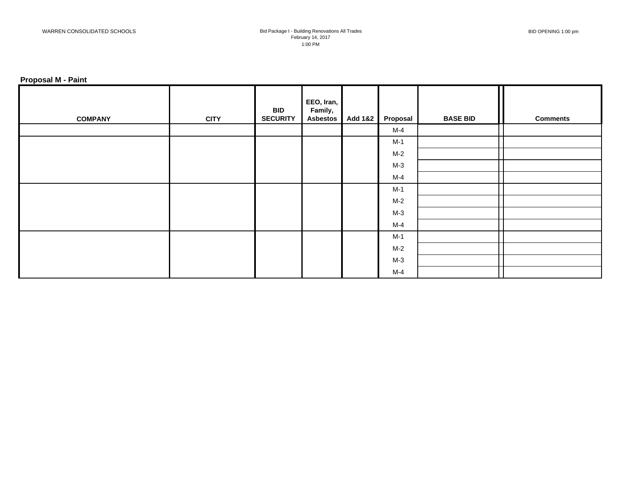## **Proposal M - Paint**

| <b>COMPANY</b> | <b>CITY</b> | <b>BID</b><br><b>SECURITY</b> | EEO, Iran,<br>Family,<br><b>Asbestos</b> | Add 1&2 | Proposal | <b>BASE BID</b> | <b>Comments</b> |
|----------------|-------------|-------------------------------|------------------------------------------|---------|----------|-----------------|-----------------|
|                |             |                               |                                          |         | $M-4$    |                 |                 |
|                |             |                               |                                          |         | $M-1$    |                 |                 |
|                |             |                               |                                          |         | $M-2$    |                 |                 |
|                |             |                               |                                          |         | $M-3$    |                 |                 |
|                |             |                               |                                          |         | $M-4$    |                 |                 |
|                |             |                               |                                          |         | $M-1$    |                 |                 |
|                |             |                               |                                          |         | $M-2$    |                 |                 |
|                |             |                               |                                          |         | $M-3$    |                 |                 |
|                |             |                               |                                          |         | M-4      |                 |                 |
|                |             |                               |                                          |         | $M-1$    |                 |                 |
|                |             |                               |                                          |         | $M-2$    |                 |                 |
|                |             |                               |                                          |         | $M-3$    |                 |                 |
|                |             |                               |                                          |         | M-4      |                 |                 |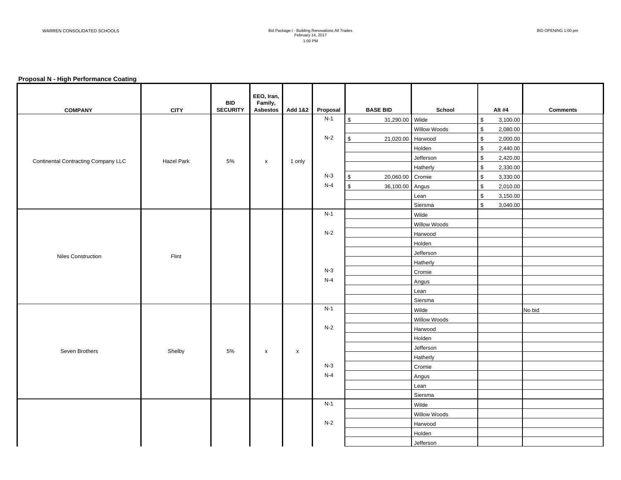#### **Proposal N - High Performance Coating**

|                                            |             | <b>BID</b>      | EEO, Iran,<br>Family, |             |          |                            |              |                           |                 |
|--------------------------------------------|-------------|-----------------|-----------------------|-------------|----------|----------------------------|--------------|---------------------------|-----------------|
| <b>COMPANY</b>                             | <b>CITY</b> | <b>SECURITY</b> | Asbestos              | Add 1&2     | Proposal | <b>BASE BID</b>            | School       | Alt #4                    | <b>Comments</b> |
|                                            |             |                 |                       |             | $N-1$    | $\sqrt{2}$<br>31,290.00    | Wilde        | \$<br>3,100.00            |                 |
|                                            |             |                 |                       |             |          |                            | Willow Woods | $\mathfrak s$<br>2,080.00 |                 |
|                                            |             |                 |                       |             | $N-2$    | $\mathfrak s$<br>21,020.00 | Harwood      | \$<br>2,000.00            |                 |
|                                            |             |                 |                       |             |          |                            | Holden       | \$<br>2,440.00            |                 |
| <b>Continental Contracting Company LLC</b> | Hazel Park  | $5\%$           | $\pmb{\mathsf{X}}$    | 1 only      |          |                            | Jefferson    | \$<br>2,420.00            |                 |
|                                            |             |                 |                       |             |          |                            | Hatherly     | \$<br>2,330.00            |                 |
|                                            |             |                 |                       |             | $N-3$    | $\mathfrak s$<br>20,060.00 | Cromie       | \$<br>3,330.00            |                 |
|                                            |             |                 |                       |             | $N-4$    | $\mathbb{S}$<br>36,100.00  | Angus        | \$<br>2,010.00            |                 |
|                                            |             |                 |                       |             |          |                            | Lean         | \$<br>3,150.00            |                 |
|                                            |             |                 |                       |             |          |                            | Siersma      | \$<br>3,040.00            |                 |
|                                            |             |                 |                       |             | $N-1$    |                            | Wilde        |                           |                 |
|                                            |             |                 |                       |             |          |                            | Willow Woods |                           |                 |
|                                            |             |                 |                       |             | $N-2$    |                            | Harwood      |                           |                 |
|                                            |             |                 |                       |             | Holden   |                            |              |                           |                 |
| <b>Niles Construction</b><br>Flint         |             |                 |                       | Jefferson   |          |                            |              |                           |                 |
|                                            |             |                 |                       | Hatherly    |          |                            |              |                           |                 |
|                                            |             |                 |                       |             | $N-3$    |                            | Cromie       |                           |                 |
|                                            |             |                 |                       |             | $N-4$    |                            | Angus        |                           |                 |
|                                            |             |                 |                       |             |          |                            | Lean         |                           |                 |
|                                            |             |                 |                       |             |          |                            | Siersma      |                           |                 |
|                                            |             |                 |                       |             | $N-1$    |                            | Wilde        |                           | No bid          |
|                                            |             |                 |                       |             |          |                            | Willow Woods |                           |                 |
|                                            |             |                 |                       |             | $N-2$    |                            | Harwood      |                           |                 |
|                                            |             |                 |                       |             |          |                            | Holden       |                           |                 |
| Seven Brothers                             | Shelby      | $5\%$           | $\pmb{\mathsf{X}}$    | $\mathsf X$ |          |                            | Jefferson    |                           |                 |
|                                            |             |                 |                       |             |          |                            | Hatherly     |                           |                 |
|                                            |             |                 |                       |             | $N-3$    |                            | Cromie       |                           |                 |
|                                            |             |                 |                       |             | $N-4$    |                            | Angus        |                           |                 |
|                                            |             |                 |                       |             |          |                            | Lean         |                           |                 |
|                                            |             |                 |                       |             |          |                            | Siersma      |                           |                 |
|                                            |             |                 |                       |             | $N-1$    |                            | Wilde        |                           |                 |
|                                            |             |                 |                       |             |          |                            | Willow Woods |                           |                 |
|                                            |             |                 |                       |             | $N-2$    |                            | Harwood      |                           |                 |
|                                            |             |                 |                       |             |          |                            | Holden       |                           |                 |
|                                            |             |                 |                       |             |          |                            | Jefferson    |                           |                 |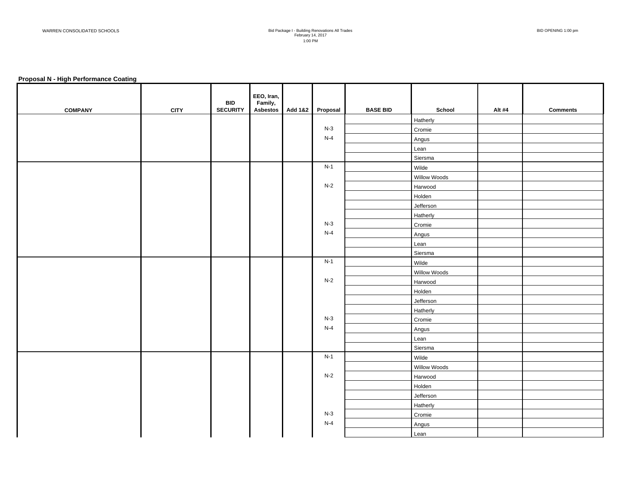#### **Proposal N - High Performance Coating**

| <b>COMPANY</b> | <b>CITY</b> | <b>BID</b><br><b>SECURITY</b> | EEO, Iran,<br>Family, | Asbestos Add 1&2 | Proposal | <b>BASE BID</b> | School       | Alt #4 | <b>Comments</b> |
|----------------|-------------|-------------------------------|-----------------------|------------------|----------|-----------------|--------------|--------|-----------------|
|                |             |                               |                       |                  |          |                 | Hatherly     |        |                 |
|                |             |                               |                       |                  | $N-3$    |                 | Cromie       |        |                 |
|                |             |                               |                       |                  | $N-4$    |                 | Angus        |        |                 |
|                |             |                               |                       |                  |          |                 | Lean         |        |                 |
|                |             |                               |                       |                  |          |                 | Siersma      |        |                 |
|                |             |                               |                       |                  | $N-1$    |                 | Wilde        |        |                 |
|                |             |                               |                       |                  |          |                 | Willow Woods |        |                 |
|                |             |                               |                       |                  | $N-2$    |                 | Harwood      |        |                 |
|                |             |                               |                       |                  |          |                 | Holden       |        |                 |
|                |             |                               |                       |                  |          |                 | Jefferson    |        |                 |
|                |             |                               |                       |                  |          |                 | Hatherly     |        |                 |
|                |             |                               |                       |                  | $N-3$    |                 | Cromie       |        |                 |
|                |             |                               |                       |                  | $N-4$    |                 | Angus        |        |                 |
|                |             |                               |                       |                  |          |                 | Lean         |        |                 |
|                |             |                               |                       |                  |          |                 | Siersma      |        |                 |
|                |             |                               |                       |                  | $N-1$    |                 | Wilde        |        |                 |
|                |             |                               |                       |                  |          |                 | Willow Woods |        |                 |
|                |             |                               |                       |                  | $N-2$    |                 | Harwood      |        |                 |
|                |             |                               |                       |                  |          |                 | Holden       |        |                 |
|                |             |                               |                       |                  |          |                 | Jefferson    |        |                 |
|                |             |                               |                       |                  |          |                 | Hatherly     |        |                 |
|                |             |                               |                       |                  | $N-3$    |                 | Cromie       |        |                 |
|                |             |                               |                       |                  | $N-4$    |                 | Angus        |        |                 |
|                |             |                               |                       |                  |          |                 | Lean         |        |                 |
|                |             |                               |                       |                  |          |                 | Siersma      |        |                 |
|                |             |                               |                       |                  | $N-1$    |                 | Wilde        |        |                 |
|                |             |                               |                       |                  |          |                 | Willow Woods |        |                 |
|                |             |                               |                       |                  | $N-2$    |                 | Harwood      |        |                 |
|                |             |                               |                       |                  |          |                 | Holden       |        |                 |
|                |             |                               |                       |                  |          |                 | Jefferson    |        |                 |
|                |             |                               |                       |                  |          |                 | Hatherly     |        |                 |
|                |             |                               |                       |                  | $N-3$    |                 | Cromie       |        |                 |
|                |             |                               |                       |                  | $N-4$    |                 | Angus        |        |                 |
|                |             |                               |                       |                  |          |                 | Lean         |        |                 |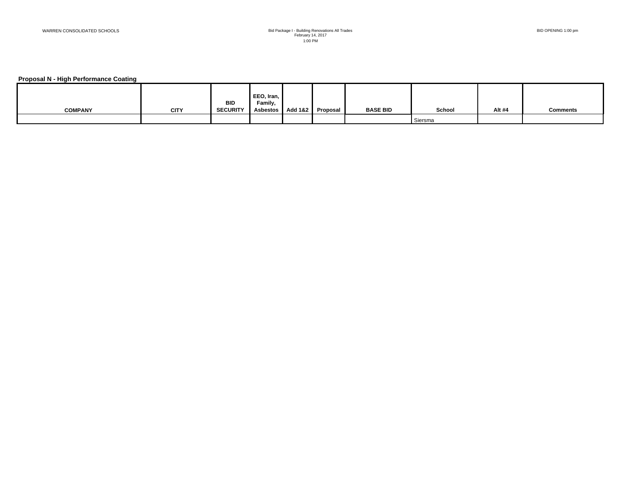#### **Proposal N - High Performance Coating**

|                |             |                               | EEO, Iran,          |                    |          |                 |         |        |                 |
|----------------|-------------|-------------------------------|---------------------|--------------------|----------|-----------------|---------|--------|-----------------|
| <b>COMPANY</b> | <b>CITY</b> | <b>BID</b><br><b>SECURITY</b> | Family,<br>Asbestos | <b>Add 1&amp;2</b> | Proposal | <b>BASE BID</b> | School  | Alt #4 | <b>Comments</b> |
|                |             |                               |                     |                    |          |                 |         |        |                 |
|                |             |                               |                     |                    |          |                 | Siersma |        |                 |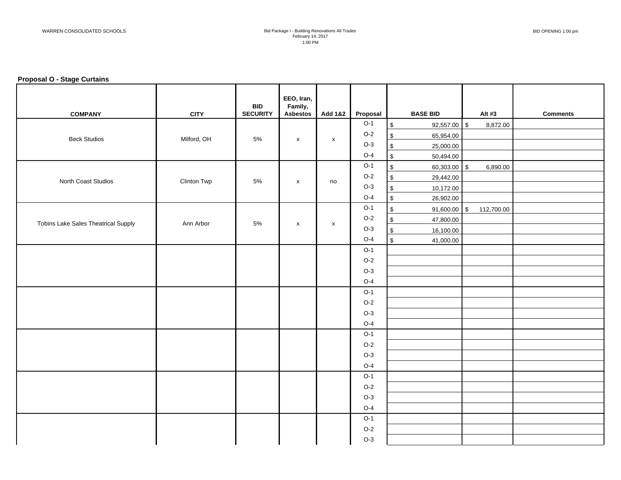#### **Proposal O - Stage Curtains**

| <b>COMPANY</b>                             | <b>CITY</b> | <b>BID</b><br><b>SECURITY</b> | EEO, Iran,<br>Family,<br><b>Asbestos</b> | <b>Add 1&amp;2</b> | Proposal |                         | <b>BASE BID</b> | Alt #3     | <b>Comments</b> |
|--------------------------------------------|-------------|-------------------------------|------------------------------------------|--------------------|----------|-------------------------|-----------------|------------|-----------------|
|                                            |             |                               |                                          |                    | $O-1$    | $\,$                    | 92,557.00 \$    | 8,872.00   |                 |
|                                            |             | 5%                            |                                          |                    | $O-2$    | $\,$                    | 65,954.00       |            |                 |
| <b>Beck Studios</b>                        | Milford, OH |                               | $\mathsf{x}$                             | $\pmb{\mathsf{X}}$ | $O-3$    | $\, \, \mathbb{S} \,$   | 25,000.00       |            |                 |
|                                            |             |                               |                                          |                    | $O-4$    | $\sqrt{2}$              | 50,494.00       |            |                 |
|                                            |             |                               |                                          |                    | $O-1$    | $\sqrt[6]{\frac{1}{2}}$ | $60,303.00$ \$  | 6,890.00   |                 |
| North Coast Studios                        |             | 5%                            |                                          |                    | $O-2$    | $\,$                    | 29,442.00       |            |                 |
|                                            | Clinton Twp |                               | $\pmb{\times}$                           | no                 | $O-3$    | \$                      | 10,172.00       |            |                 |
|                                            |             |                               |                                          |                    | $O-4$    | $\sqrt[6]{\frac{1}{2}}$ | 26,902.00       |            |                 |
|                                            |             |                               |                                          |                    | $O-1$    | $\,$                    | 91,600.00 \$    | 112,700.00 |                 |
| <b>Tobins Lake Sales Theatrical Supply</b> | Ann Arbor   | 5%                            |                                          |                    | $O-2$    | $\,$                    | 47,800.00       |            |                 |
|                                            |             |                               | $\pmb{\times}$                           | $\pmb{\mathsf{X}}$ | $O-3$    | $\,$                    | 16,100.00       |            |                 |
|                                            |             |                               |                                          |                    | $O-4$    | $\sqrt[6]{\frac{1}{2}}$ | 41,000.00       |            |                 |
|                                            |             |                               |                                          |                    | $O-1$    |                         |                 |            |                 |
|                                            |             |                               |                                          |                    | $O-2$    |                         |                 |            |                 |
|                                            |             |                               |                                          |                    | $O-3$    |                         |                 |            |                 |
|                                            |             |                               |                                          |                    | $O-4$    |                         |                 |            |                 |
|                                            |             |                               |                                          |                    | $O-1$    |                         |                 |            |                 |
|                                            |             |                               |                                          |                    | $O-2$    |                         |                 |            |                 |
|                                            |             |                               |                                          |                    | $O-3$    |                         |                 |            |                 |
|                                            |             |                               |                                          |                    | $O-4$    |                         |                 |            |                 |
|                                            |             |                               |                                          |                    | $O-1$    |                         |                 |            |                 |
|                                            |             |                               |                                          |                    | $O-2$    |                         |                 |            |                 |
|                                            |             |                               |                                          |                    | $O-3$    |                         |                 |            |                 |
|                                            |             |                               |                                          |                    | $O-4$    |                         |                 |            |                 |
|                                            |             |                               |                                          |                    | $O-1$    |                         |                 |            |                 |
|                                            |             |                               |                                          |                    | $O-2$    |                         |                 |            |                 |
|                                            |             |                               |                                          |                    | $O-3$    |                         |                 |            |                 |
|                                            |             |                               |                                          |                    | $O-4$    |                         |                 |            |                 |
|                                            |             |                               |                                          |                    | $O-1$    |                         |                 |            |                 |
|                                            |             |                               |                                          |                    | $O-2$    |                         |                 |            |                 |
|                                            |             |                               |                                          |                    | $O-3$    |                         |                 |            |                 |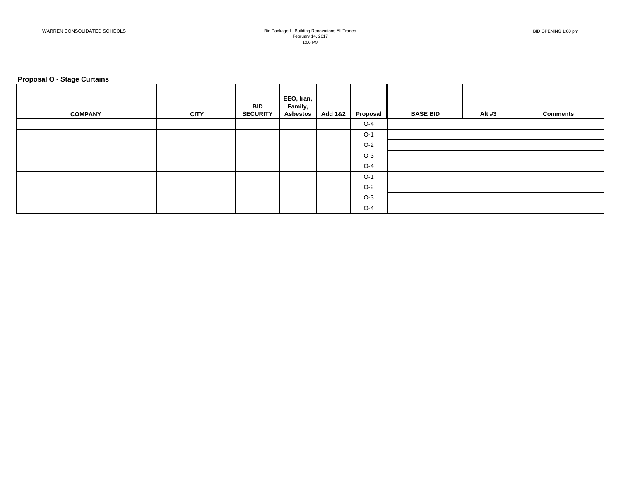#### **Proposal O - Stage Curtains**

| <b>COMPANY</b> | <b>CITY</b> | <b>BID</b><br><b>SECURITY</b> | EEO, Iran,<br>Family,<br><b>Asbestos</b> | <b>Add 1&amp;2</b> | Proposal | <b>BASE BID</b> | Alt #3 | <b>Comments</b> |
|----------------|-------------|-------------------------------|------------------------------------------|--------------------|----------|-----------------|--------|-----------------|
|                |             |                               |                                          |                    | $O-4$    |                 |        |                 |
|                |             |                               |                                          |                    | $O-1$    |                 |        |                 |
|                |             |                               |                                          |                    | $O-2$    |                 |        |                 |
|                |             |                               |                                          |                    | $O-3$    |                 |        |                 |
|                |             |                               |                                          |                    | $O-4$    |                 |        |                 |
|                |             |                               |                                          |                    | $O-1$    |                 |        |                 |
|                |             |                               |                                          |                    | $O-2$    |                 |        |                 |
|                |             |                               |                                          |                    | $O-3$    |                 |        |                 |
|                |             |                               |                                          |                    | $O-4$    |                 |        |                 |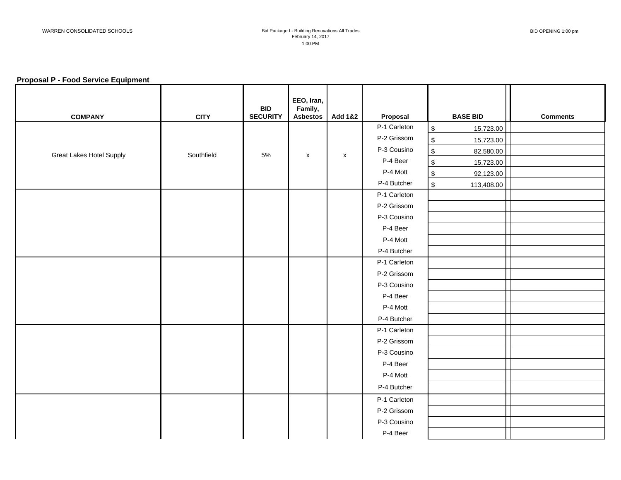#### **Proposal P - Food Service Equipment**

| <b>COMPANY</b>                  | <b>CITY</b> | <b>BID</b><br><b>SECURITY</b> | EEO, Iran,<br>Family,<br><b>Asbestos</b> | <b>Add 1&amp;2</b> | Proposal     | <b>BASE BID</b>              | <b>Comments</b> |
|---------------------------------|-------------|-------------------------------|------------------------------------------|--------------------|--------------|------------------------------|-----------------|
|                                 |             |                               |                                          |                    | P-1 Carleton | $\,$<br>15,723.00            |                 |
|                                 |             |                               |                                          |                    | P-2 Grissom  | $\,$<br>15,723.00            |                 |
| <b>Great Lakes Hotel Supply</b> | Southfield  | $5\%$                         |                                          |                    | P-3 Cousino  | $$\mathbb{S}$$<br>82,580.00  |                 |
|                                 |             |                               | $\pmb{\mathsf{X}}$                       | $\pmb{\mathsf{x}}$ | P-4 Beer     | $\,$<br>15,723.00            |                 |
|                                 |             |                               |                                          |                    | P-4 Mott     | $\,$<br>92,123.00            |                 |
|                                 |             |                               |                                          |                    | P-4 Butcher  | $$\mathbb{S}$$<br>113,408.00 |                 |
|                                 |             |                               |                                          |                    | P-1 Carleton |                              |                 |
|                                 |             |                               |                                          |                    | P-2 Grissom  |                              |                 |
|                                 |             |                               |                                          |                    | P-3 Cousino  |                              |                 |
|                                 |             |                               |                                          |                    | P-4 Beer     |                              |                 |
|                                 |             |                               |                                          |                    | P-4 Mott     |                              |                 |
|                                 |             |                               |                                          |                    | P-4 Butcher  |                              |                 |
|                                 |             |                               |                                          |                    | P-1 Carleton |                              |                 |
|                                 |             |                               |                                          |                    | P-2 Grissom  |                              |                 |
|                                 |             |                               |                                          |                    | P-3 Cousino  |                              |                 |
|                                 |             |                               |                                          |                    | P-4 Beer     |                              |                 |
|                                 |             |                               |                                          |                    | P-4 Mott     |                              |                 |
|                                 |             |                               |                                          |                    | P-4 Butcher  |                              |                 |
|                                 |             |                               |                                          |                    | P-1 Carleton |                              |                 |
|                                 |             |                               |                                          |                    | P-2 Grissom  |                              |                 |
|                                 |             |                               |                                          |                    | P-3 Cousino  |                              |                 |
|                                 |             |                               |                                          |                    | P-4 Beer     |                              |                 |
|                                 |             |                               |                                          |                    | P-4 Mott     |                              |                 |
|                                 |             |                               |                                          |                    | P-4 Butcher  |                              |                 |
|                                 |             |                               |                                          |                    | P-1 Carleton |                              |                 |
|                                 |             |                               |                                          |                    | P-2 Grissom  |                              |                 |
|                                 |             |                               |                                          |                    | P-3 Cousino  |                              |                 |
|                                 |             |                               |                                          |                    | P-4 Beer     |                              |                 |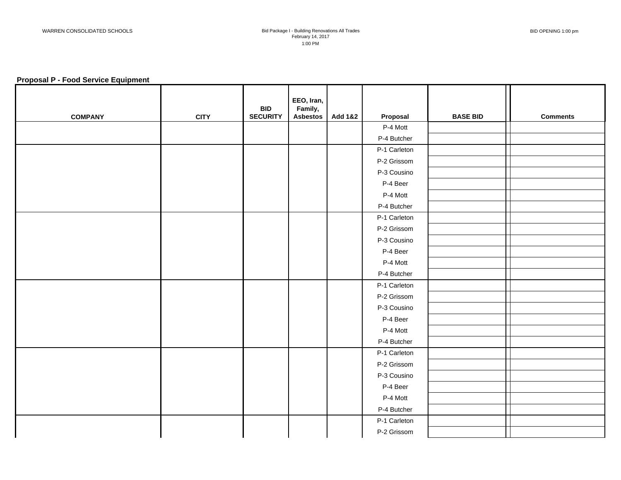#### **Proposal P - Food Service Equipment**

| <b>COMPANY</b> | <b>CITY</b> | <b>BID</b><br><b>SECURITY</b> | EEO, Iran,<br>Family,<br><b>Asbestos</b> | <b>Add 1&amp;2</b> | Proposal     | <b>BASE BID</b> | <b>Comments</b> |
|----------------|-------------|-------------------------------|------------------------------------------|--------------------|--------------|-----------------|-----------------|
|                |             |                               |                                          |                    | P-4 Mott     |                 |                 |
|                |             |                               |                                          |                    | P-4 Butcher  |                 |                 |
|                |             |                               |                                          |                    | P-1 Carleton |                 |                 |
|                |             |                               |                                          |                    | P-2 Grissom  |                 |                 |
|                |             |                               |                                          |                    | P-3 Cousino  |                 |                 |
|                |             |                               |                                          |                    | P-4 Beer     |                 |                 |
|                |             |                               |                                          |                    | P-4 Mott     |                 |                 |
|                |             |                               |                                          |                    | P-4 Butcher  |                 |                 |
|                |             |                               |                                          |                    | P-1 Carleton |                 |                 |
|                |             |                               |                                          |                    | P-2 Grissom  |                 |                 |
|                |             |                               |                                          |                    | P-3 Cousino  |                 |                 |
|                |             |                               |                                          |                    | P-4 Beer     |                 |                 |
|                |             |                               |                                          |                    | P-4 Mott     |                 |                 |
|                |             |                               |                                          |                    | P-4 Butcher  |                 |                 |
|                |             |                               |                                          |                    | P-1 Carleton |                 |                 |
|                |             |                               |                                          |                    | P-2 Grissom  |                 |                 |
|                |             |                               |                                          |                    | P-3 Cousino  |                 |                 |
|                |             |                               |                                          |                    | P-4 Beer     |                 |                 |
|                |             |                               |                                          |                    | P-4 Mott     |                 |                 |
|                |             |                               |                                          |                    | P-4 Butcher  |                 |                 |
|                |             |                               |                                          |                    | P-1 Carleton |                 |                 |
|                |             |                               |                                          |                    | P-2 Grissom  |                 |                 |
|                |             |                               |                                          |                    | P-3 Cousino  |                 |                 |
|                |             |                               |                                          |                    | P-4 Beer     |                 |                 |
|                |             |                               |                                          |                    | P-4 Mott     |                 |                 |
|                |             |                               |                                          |                    | P-4 Butcher  |                 |                 |
|                |             |                               |                                          |                    | P-1 Carleton |                 |                 |
|                |             |                               |                                          |                    | P-2 Grissom  |                 |                 |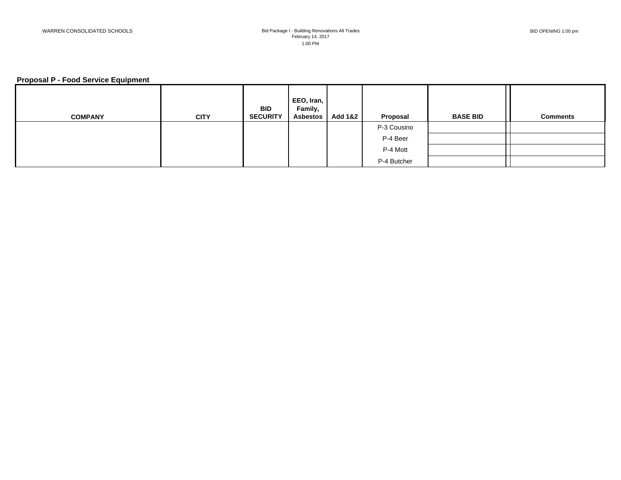#### **Proposal P - Food Service Equipment**

| <b>COMPANY</b> | <b>CITY</b> | <b>BID</b><br><b>SECURITY</b> | EEO, Iran,<br>Family,<br><b>Asbestos</b> | <b>Add 1&amp;2</b> | Proposal    | <b>BASE BID</b> | <b>Comments</b> |
|----------------|-------------|-------------------------------|------------------------------------------|--------------------|-------------|-----------------|-----------------|
|                |             |                               |                                          |                    | P-3 Cousino |                 |                 |
|                |             |                               |                                          |                    | P-4 Beer    |                 |                 |
|                |             |                               |                                          |                    | P-4 Mott    |                 |                 |
|                |             |                               |                                          |                    | P-4 Butcher |                 |                 |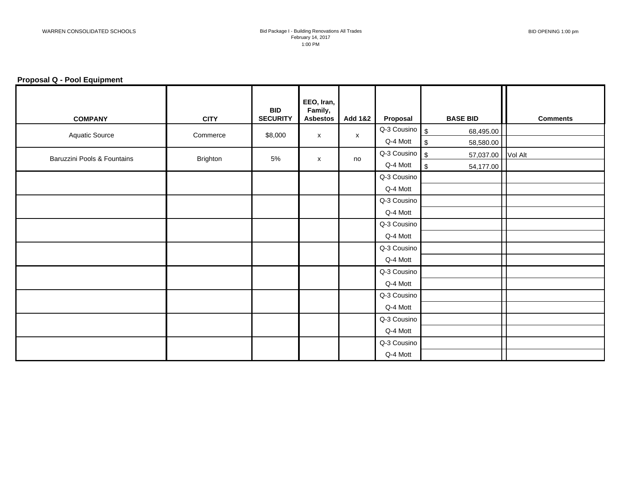## **Proposal Q - Pool Equipment**

| <b>COMPANY</b>              | <b>CITY</b> | <b>BID</b><br><b>SECURITY</b> | EEO, Iran,<br>Family,<br><b>Asbestos</b> | <b>Add 1&amp;2</b> | Proposal                    | <b>BASE BID</b>                        | <b>Comments</b> |
|-----------------------------|-------------|-------------------------------|------------------------------------------|--------------------|-----------------------------|----------------------------------------|-----------------|
|                             |             |                               |                                          |                    | $Q-3$ Cousino $\frac{1}{3}$ | 68,495.00                              |                 |
| Aquatic Source              | Commerce    | \$8,000                       | $\boldsymbol{\mathsf{x}}$                | $\mathsf{x}$       | Q-4 Mott                    | $\sqrt{2}$<br>58,580.00                |                 |
| Baruzzini Pools & Fountains | Brighton    | 5%                            |                                          | no                 | Q-3 Cousino $\int$ \$       | 57,037.00 Vol Alt                      |                 |
|                             |             |                               | X                                        |                    | Q-4 Mott                    | $\boldsymbol{\mathsf{S}}$<br>54,177.00 |                 |
|                             |             |                               |                                          |                    | Q-3 Cousino                 |                                        |                 |
|                             |             |                               |                                          |                    | Q-4 Mott                    |                                        |                 |
|                             |             |                               |                                          |                    | Q-3 Cousino                 |                                        |                 |
|                             |             |                               |                                          |                    | Q-4 Mott                    |                                        |                 |
|                             |             |                               |                                          |                    | Q-3 Cousino                 |                                        |                 |
|                             |             |                               |                                          |                    | Q-4 Mott                    |                                        |                 |
|                             |             |                               |                                          |                    | Q-3 Cousino                 |                                        |                 |
|                             |             |                               |                                          |                    | Q-4 Mott                    |                                        |                 |
|                             |             |                               |                                          |                    | Q-3 Cousino                 |                                        |                 |
|                             |             |                               |                                          |                    | Q-4 Mott                    |                                        |                 |
|                             |             |                               |                                          |                    | Q-3 Cousino                 |                                        |                 |
|                             |             |                               |                                          |                    | Q-4 Mott                    |                                        |                 |
|                             |             |                               |                                          |                    | Q-3 Cousino                 |                                        |                 |
|                             |             |                               |                                          |                    | Q-4 Mott                    |                                        |                 |
|                             |             |                               |                                          |                    | Q-3 Cousino                 |                                        |                 |
|                             |             |                               |                                          |                    | Q-4 Mott                    |                                        |                 |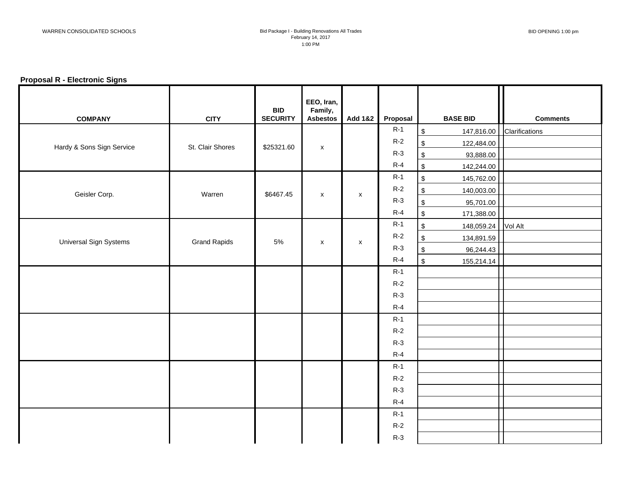## **Proposal R - Electronic Signs**

| <b>COMPANY</b>                | <b>CITY</b>         | <b>BID</b><br><b>SECURITY</b> | EEO, Iran,<br>Family,<br><b>Asbestos</b> | Add 1&2            | Proposal | <b>BASE BID</b>              | <b>Comments</b> |
|-------------------------------|---------------------|-------------------------------|------------------------------------------|--------------------|----------|------------------------------|-----------------|
|                               |                     |                               |                                          |                    | $R-1$    | $\,$<br>147,816.00           | Clarifications  |
| Hardy & Sons Sign Service     | St. Clair Shores    | \$25321.60                    |                                          |                    | $R-2$    | $\,$<br>122,484.00           |                 |
|                               |                     |                               | $\pmb{\mathsf{X}}$                       |                    | $R-3$    | $\,$<br>93,888.00            |                 |
|                               |                     |                               |                                          |                    | $R-4$    | $$\mathbb{S}$$<br>142,244.00 |                 |
|                               |                     |                               |                                          |                    | $R-1$    | $\,$<br>145,762.00           |                 |
| Geisler Corp.                 | Warren              | \$6467.45                     | $\mathsf{x}$                             | $\pmb{\mathsf{x}}$ | $R-2$    | $\,$<br>140,003.00           |                 |
|                               |                     |                               |                                          |                    | $R-3$    | $\,$<br>95,701.00            |                 |
|                               |                     |                               |                                          |                    | $R-4$    | $$\mathbb{S}$$<br>171,388.00 |                 |
|                               |                     |                               |                                          |                    | $R-1$    | $\,$<br>148,059.24 Vol Alt   |                 |
| <b>Universal Sign Systems</b> | <b>Grand Rapids</b> | 5%                            | X                                        | X                  | $R-2$    | $\,$<br>134,891.59           |                 |
|                               |                     |                               |                                          |                    | $R-3$    | $$\mathbb{S}$$<br>96,244.43  |                 |
|                               |                     |                               |                                          |                    | $R-4$    | $$\mathbb{S}$$<br>155,214.14 |                 |
|                               |                     |                               |                                          |                    | $R-1$    |                              |                 |
|                               |                     |                               |                                          |                    | $R-2$    |                              |                 |
|                               |                     |                               |                                          |                    | $R-3$    |                              |                 |
|                               |                     |                               |                                          |                    | $R-4$    |                              |                 |
|                               |                     |                               |                                          |                    | $R-1$    |                              |                 |
|                               |                     |                               |                                          |                    | $R-2$    |                              |                 |
|                               |                     |                               |                                          |                    | $R-3$    |                              |                 |
|                               |                     |                               |                                          |                    | $R-4$    |                              |                 |
|                               |                     |                               |                                          |                    | $R-1$    |                              |                 |
|                               |                     |                               |                                          |                    | $R-2$    |                              |                 |
|                               |                     |                               |                                          |                    | $R-3$    |                              |                 |
|                               |                     |                               |                                          |                    | $R-4$    |                              |                 |
|                               |                     |                               |                                          |                    | $R-1$    |                              |                 |
|                               |                     |                               |                                          |                    | $R-2$    |                              |                 |
|                               |                     |                               |                                          |                    | $R-3$    |                              |                 |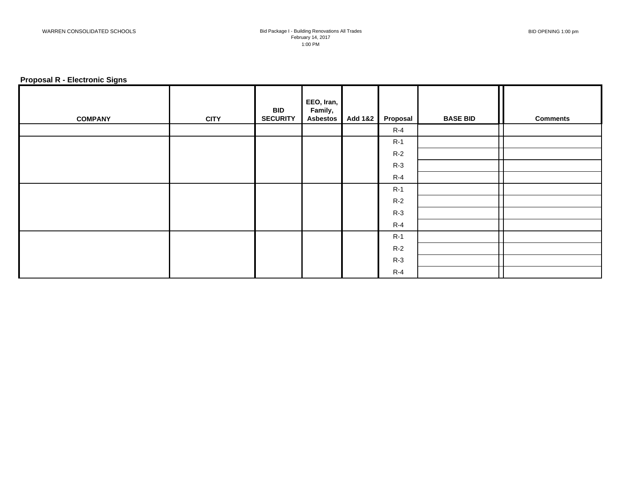## **Proposal R - Electronic Signs**

| <b>COMPANY</b> | <b>CITY</b> | <b>BID</b><br><b>SECURITY</b> | EEO, Iran,<br>Family,<br><b>Asbestos</b> | <b>Add 1&amp;2</b> | Proposal | <b>BASE BID</b> | <b>Comments</b> |
|----------------|-------------|-------------------------------|------------------------------------------|--------------------|----------|-----------------|-----------------|
|                |             |                               |                                          |                    | $R-4$    |                 |                 |
|                |             |                               |                                          |                    | $R-1$    |                 |                 |
|                |             |                               |                                          |                    | $R-2$    |                 |                 |
|                |             |                               |                                          |                    | $R-3$    |                 |                 |
|                |             |                               |                                          |                    | $R-4$    |                 |                 |
|                |             |                               |                                          |                    | $R-1$    |                 |                 |
|                |             |                               |                                          |                    | $R-2$    |                 |                 |
|                |             |                               |                                          |                    | $R-3$    |                 |                 |
|                |             |                               |                                          |                    | $R-4$    |                 |                 |
|                |             |                               |                                          |                    | $R-1$    |                 |                 |
|                |             |                               |                                          |                    | $R-2$    |                 |                 |
|                |             |                               |                                          |                    | $R-3$    |                 |                 |
|                |             |                               |                                          |                    | $R-4$    |                 |                 |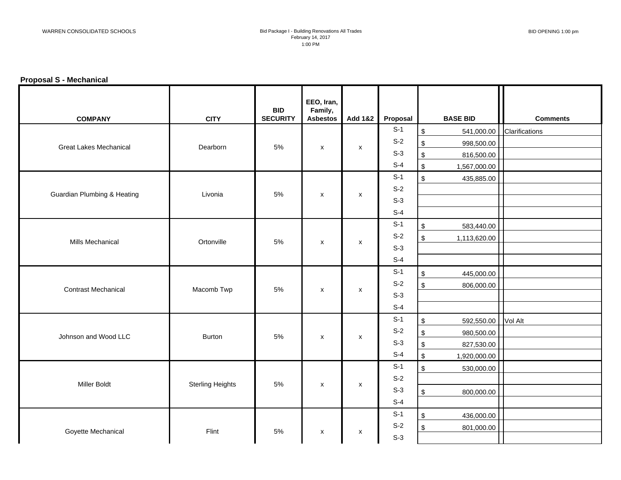# **Proposal S - Mechanical**

| <b>COMPANY</b>                         | <b>CITY</b>             | <b>BID</b><br><b>SECURITY</b> | EEO, Iran,<br>Family,<br><b>Asbestos</b> | <b>Add 1&amp;2</b> | Proposal | <b>BASE BID</b>                | <b>Comments</b> |
|----------------------------------------|-------------------------|-------------------------------|------------------------------------------|--------------------|----------|--------------------------------|-----------------|
|                                        |                         |                               |                                          |                    | $S-1$    | $$\mathbb{S}$$<br>541,000.00   | Clarifications  |
| <b>Great Lakes Mechanical</b>          |                         | 5%                            |                                          |                    | $S-2$    | \$<br>998,500.00               |                 |
|                                        | Dearborn                |                               | $\mathsf{x}$                             | $\pmb{\mathsf{x}}$ | $S-3$    | $\,$<br>816,500.00             |                 |
|                                        |                         |                               |                                          |                    | $S-4$    | $$\mathbb{S}$$<br>1,567,000.00 |                 |
|                                        |                         |                               |                                          |                    | $S-1$    | $$\mathfrak{S}$$<br>435,885.00 |                 |
| <b>Guardian Plumbing &amp; Heating</b> | Livonia                 | 5%                            | $\mathsf{x}$                             | $\pmb{\mathsf{x}}$ | $S-2$    |                                |                 |
|                                        |                         |                               |                                          |                    | $S-3$    |                                |                 |
|                                        |                         |                               |                                          |                    | $S-4$    |                                |                 |
|                                        |                         |                               |                                          |                    | $S-1$    | $\,$<br>583,440.00             |                 |
| Mills Mechanical                       | Ortonville              | 5%                            | X                                        | X                  | $S-2$    | $\,$<br>1,113,620.00           |                 |
|                                        |                         |                               |                                          |                    | $S-3$    |                                |                 |
|                                        |                         |                               |                                          |                    | $S-4$    |                                |                 |
|                                        |                         |                               |                                          |                    | $S-1$    | \$<br>445,000.00               |                 |
| <b>Contrast Mechanical</b>             | Macomb Twp              | 5%                            |                                          |                    | $S-2$    | $\frac{1}{2}$<br>806,000.00    |                 |
|                                        |                         |                               | $\pmb{\mathsf{x}}$                       | $\pmb{\mathsf{x}}$ | $S-3$    |                                |                 |
|                                        |                         |                               |                                          |                    | $S-4$    |                                |                 |
|                                        |                         |                               |                                          |                    | $S-1$    | \$<br>592,550.00               | Vol Alt         |
| Johnson and Wood LLC                   | Burton                  | 5%                            |                                          |                    | $S-2$    | \$<br>980,500.00               |                 |
|                                        |                         |                               | X                                        | X                  | $S-3$    | $\,$<br>827,530.00             |                 |
|                                        |                         |                               |                                          |                    | $S-4$    | $$\mathbb{S}$$<br>1,920,000.00 |                 |
|                                        |                         |                               |                                          |                    | $S-1$    | $$\mathbb{S}$$<br>530,000.00   |                 |
|                                        |                         | 5%                            |                                          |                    | $S-2$    |                                |                 |
| <b>Miller Boldt</b>                    | <b>Sterling Heights</b> |                               | X                                        | X                  | $S-3$    | $\,$<br>800,000.00             |                 |
|                                        |                         |                               |                                          |                    | $S-4$    |                                |                 |
|                                        |                         |                               |                                          |                    | $S-1$    | $\,$<br>436,000.00             |                 |
|                                        |                         |                               |                                          |                    | $S-2$    | \$<br>801,000.00               |                 |
| Goyette Mechanical                     | Flint                   | 5%                            | X                                        | X                  | $S-3$    |                                |                 |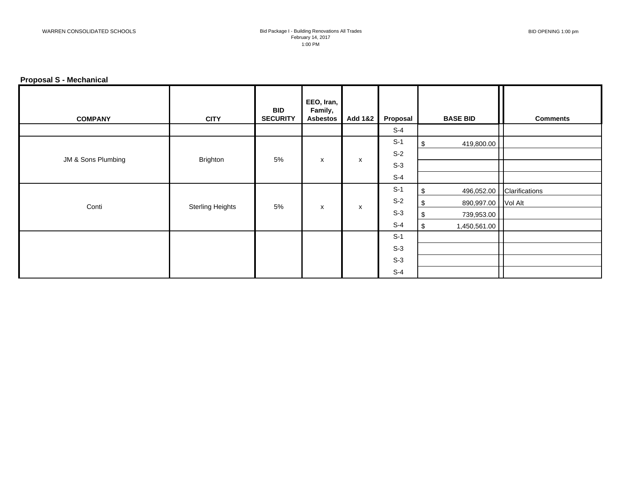# **Proposal S - Mechanical**

| <b>COMPANY</b>     | <b>CITY</b>             | <b>BID</b><br><b>SECURITY</b> | EEO, Iran,<br>Family,<br><b>Asbestos</b> | <b>Add 1&amp;2</b>        | Proposal | <b>BASE BID</b>           | <b>Comments</b>           |
|--------------------|-------------------------|-------------------------------|------------------------------------------|---------------------------|----------|---------------------------|---------------------------|
|                    |                         |                               |                                          |                           | $S-4$    |                           |                           |
|                    |                         |                               |                                          |                           | $S-1$    | 419,800.00<br>\$          |                           |
|                    |                         | 5%                            |                                          |                           | $S-2$    |                           |                           |
| JM & Sons Plumbing | Brighton                |                               | X                                        | $\boldsymbol{\mathsf{x}}$ | $S-3$    |                           |                           |
|                    |                         |                               |                                          |                           | $S-4$    |                           |                           |
|                    |                         |                               |                                          |                           | $S-1$    | \$                        | 496,052.00 Clarifications |
| Conti              | <b>Sterling Heights</b> | 5%                            | X                                        | $\boldsymbol{\mathsf{x}}$ | $S-2$    | 890,997.00 Vol Alt<br>-\$ |                           |
|                    |                         |                               |                                          |                           | $S-3$    | \$<br>739,953.00          |                           |
|                    |                         |                               |                                          |                           | $S-4$    | \$<br>1,450,561.00        |                           |
|                    |                         |                               |                                          |                           | $S-1$    |                           |                           |
|                    |                         |                               |                                          |                           | $S-3$    |                           |                           |
|                    |                         |                               |                                          |                           | $S-3$    |                           |                           |
|                    |                         |                               |                                          |                           | $S-4$    |                           |                           |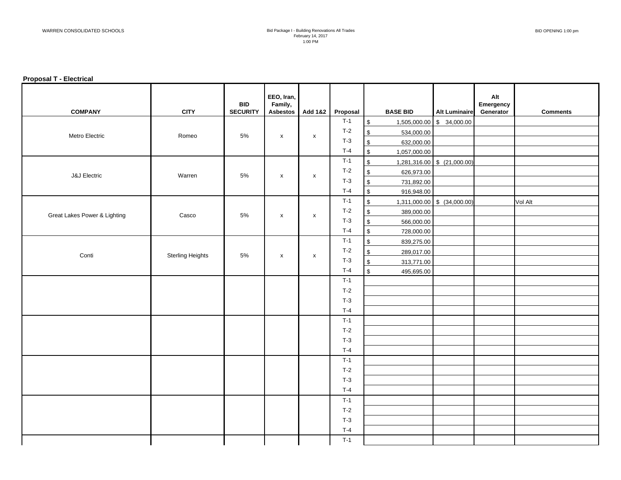#### **Proposal T - Electrical**

| <b>COMPANY</b>               | <b>CITY</b>             | <b>BID</b><br><b>SECURITY</b> | EEO, Iran,<br>Family,<br>Asbestos | Add 1&2            | Proposal | <b>BASE BID</b>                         | <b>Alt Luminaire</b>        | Alt<br>Emergency<br>Generator | <b>Comments</b> |
|------------------------------|-------------------------|-------------------------------|-----------------------------------|--------------------|----------|-----------------------------------------|-----------------------------|-------------------------------|-----------------|
|                              |                         |                               |                                   |                    | $T-1$    | $\,$                                    | 1,505,000.00 \$ 34,000.00   |                               |                 |
| Metro Electric               | Romeo                   | $5\%$                         | $\pmb{\mathsf{X}}$                | $\pmb{\mathsf{X}}$ | $T-2$    | $\boldsymbol{\mathsf{S}}$<br>534,000.00 |                             |                               |                 |
|                              |                         |                               |                                   |                    | $T-3$    | $\boldsymbol{\mathsf{S}}$<br>632,000.00 |                             |                               |                 |
|                              |                         |                               |                                   |                    | $T-4$    | $\sqrt[6]{\frac{1}{2}}$<br>1,057,000.00 |                             |                               |                 |
| <b>J&amp;J</b> Electric      | Warren                  | $5\%$                         | $\pmb{\chi}$                      | $\pmb{\times}$     | $T-1$    | $\boldsymbol{\mathsf{S}}$               | 1,281,316.00 \$ (21,000.00) |                               |                 |
|                              |                         |                               |                                   |                    | $T-2$    | $\boldsymbol{\mathsf{S}}$<br>626,973.00 |                             |                               |                 |
|                              |                         |                               |                                   |                    | $T-3$    | $\,$<br>731,892.00                      |                             |                               |                 |
|                              |                         |                               |                                   |                    | $T-4$    | $\,$<br>916,948.00                      |                             |                               |                 |
|                              | Casco                   | $5\%$                         | $\boldsymbol{\mathsf{x}}$         | $\mathsf{x}$       | $T-1$    | $\boldsymbol{\mathsf{S}}$               | 1,311,000.00 \$ (34,000.00) |                               | Vol Alt         |
| Great Lakes Power & Lighting |                         |                               |                                   |                    | $T-2$    | $\,$<br>389,000.00                      |                             |                               |                 |
|                              |                         |                               |                                   |                    | $T-3$    | $\,$<br>566,000.00                      |                             |                               |                 |
|                              |                         |                               |                                   |                    | $T-4$    | $\sqrt[6]{\frac{1}{2}}$<br>728,000.00   |                             |                               |                 |
| Conti                        | <b>Sterling Heights</b> | 5%                            | $\pmb{\mathsf{x}}$                | $\mathsf{x}$       | $T-1$    | $\,$<br>839,275.00                      |                             |                               |                 |
|                              |                         |                               |                                   |                    | $T-2$    | $\,$<br>289,017.00                      |                             |                               |                 |
|                              |                         |                               |                                   |                    | $T-3$    | $\,$<br>313,771.00                      |                             |                               |                 |
|                              |                         |                               |                                   |                    | $T-4$    | $\boldsymbol{\mathsf{S}}$<br>495,695.00 |                             |                               |                 |
|                              |                         |                               |                                   |                    | $T-1$    |                                         |                             |                               |                 |
|                              |                         |                               |                                   |                    | $T-2$    |                                         |                             |                               |                 |
|                              |                         |                               |                                   |                    | $T-3$    |                                         |                             |                               |                 |
|                              |                         |                               |                                   |                    | $T-4$    |                                         |                             |                               |                 |
|                              |                         |                               |                                   |                    | $T-1$    |                                         |                             |                               |                 |
|                              |                         |                               |                                   |                    | $T-2$    |                                         |                             |                               |                 |
|                              |                         |                               |                                   |                    | $T-3$    |                                         |                             |                               |                 |
|                              |                         |                               |                                   |                    | $T-4$    |                                         |                             |                               |                 |
|                              |                         |                               |                                   |                    | $T-1$    |                                         |                             |                               |                 |
|                              |                         |                               |                                   |                    | $T-2$    |                                         |                             |                               |                 |
|                              |                         |                               |                                   |                    | $T-3$    |                                         |                             |                               |                 |
|                              |                         |                               |                                   |                    | $T-4$    |                                         |                             |                               |                 |
|                              |                         |                               |                                   |                    | $T-1$    |                                         |                             |                               |                 |
|                              |                         |                               |                                   |                    | $T-2$    |                                         |                             |                               |                 |
|                              |                         |                               |                                   |                    | $T-3$    |                                         |                             |                               |                 |
|                              |                         |                               |                                   |                    | $T-4$    |                                         |                             |                               |                 |
|                              |                         |                               |                                   |                    | $T-1$    |                                         |                             |                               |                 |